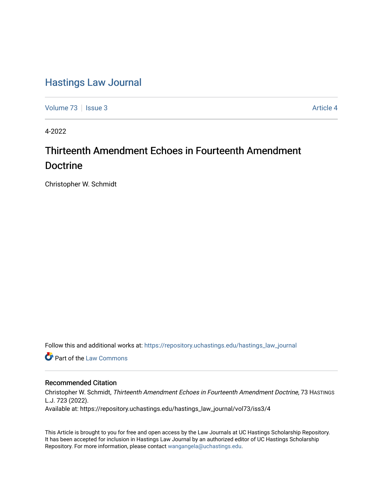## [Hastings Law Journal](https://repository.uchastings.edu/hastings_law_journal)

[Volume 73](https://repository.uchastings.edu/hastings_law_journal/vol73) | [Issue 3](https://repository.uchastings.edu/hastings_law_journal/vol73/iss3) Article 4

4-2022

# Thirteenth Amendment Echoes in Fourteenth Amendment Doctrine

Christopher W. Schmidt

Follow this and additional works at: [https://repository.uchastings.edu/hastings\\_law\\_journal](https://repository.uchastings.edu/hastings_law_journal?utm_source=repository.uchastings.edu%2Fhastings_law_journal%2Fvol73%2Fiss3%2F4&utm_medium=PDF&utm_campaign=PDFCoverPages) 

**Part of the [Law Commons](http://network.bepress.com/hgg/discipline/578?utm_source=repository.uchastings.edu%2Fhastings_law_journal%2Fvol73%2Fiss3%2F4&utm_medium=PDF&utm_campaign=PDFCoverPages)** 

## Recommended Citation

Christopher W. Schmidt, Thirteenth Amendment Echoes in Fourteenth Amendment Doctrine, 73 HASTINGS L.J. 723 (2022).

Available at: https://repository.uchastings.edu/hastings\_law\_journal/vol73/iss3/4

This Article is brought to you for free and open access by the Law Journals at UC Hastings Scholarship Repository. It has been accepted for inclusion in Hastings Law Journal by an authorized editor of UC Hastings Scholarship Repository. For more information, please contact [wangangela@uchastings.edu](mailto:wangangela@uchastings.edu).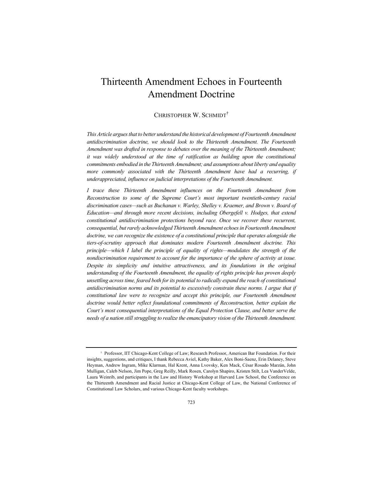## Thirteenth Amendment Echoes in Fourteenth Amendment Doctrine

## CHRISTOPHER W. SCHMIDT†

*This Article argues that to better understand the historical development of Fourteenth Amendment antidiscrimination doctrine, we should look to the Thirteenth Amendment. The Fourteenth Amendment was drafted in response to debates over the meaning of the Thirteenth Amendment; it was widely understood at the time of ratification as building upon the constitutional commitments embodied in the Thirteenth Amendment; and assumptions about liberty and equality*  more commonly associated with the Thirteenth Amendment have had a recurring, if *underappreciated, influence on judicial interpretations of the Fourteenth Amendment.*

*I trace these Thirteenth Amendment influences on the Fourteenth Amendment from Reconstruction to some of the Supreme Court's most important twentieth-century racial discrimination cases—such as Buchanan v. Warley, Shelley v. Kraemer, and Brown v. Board of Education—and through more recent decisions, including Obergefell v. Hodges, that extend constitutional antidiscrimination protections beyond race. Once we recover these recurrent, consequential, but rarely acknowledged Thirteenth Amendment echoes in Fourteenth Amendment doctrine, we can recognize the existence of a constitutional principle that operates alongside the tiers-of-scrutiny approach that dominates modern Fourteenth Amendment doctrine. This principle—which I label the principle of equality of rights—modulates the strength of the nondiscrimination requirement to account for the importance of the sphere of activity at issue. Despite its simplicity and intuitive attractiveness, and its foundations in the original understanding of the Fourteenth Amendment, the equality of rights principle has proven deeply unsettling across time, feared both for its potential to radically expand the reach of constitutional antidiscrimination norms and its potential to excessively constrain these norms. I argue that if constitutional law were to recognize and accept this principle, our Fourteenth Amendment*  doctrine would better reflect foundational commitments of Reconstruction, better explain the *Court's most consequential interpretations of the Equal Protection Clause, and better serve the needs of a nation still struggling to realize the emancipatory vision of the Thirteenth Amendment.*

<sup>†</sup> Professor, IIT Chicago-Kent College of Law; Research Professor, American Bar Foundation. For their insights, suggestions, and critiques, I thank Rebecca Aviel, Kathy Baker, Alex Boni-Saenz, Erin Delaney, Steve Heyman, Andrew Ingram, Mike Klarman, Hal Krent, Anna Lvovsky, Ken Mack, César Rosado Marzán, John Mulligan, Caleb Nelson, Jim Pope, Greg Reilly, Mark Rosen, Carolyn Shapiro, Kristen Stilt, Lea VanderVelde, Laura Weinrib, and participants in the Law and History Workshop at Harvard Law School, the Conference on the Thirteenth Amendment and Racial Justice at Chicago-Kent College of Law, the National Conference of Constitutional Law Scholars, and various Chicago-Kent faculty workshops.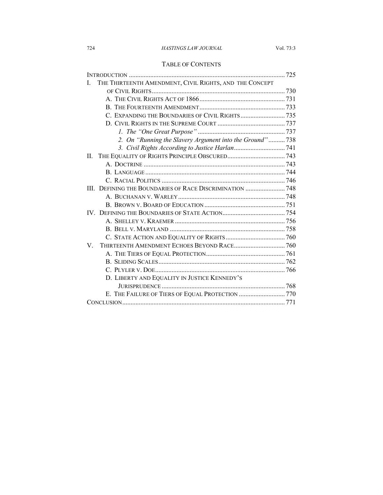## TABLE OF CONTENTS

| THE THIRTEENTH AMENDMENT, CIVIL RIGHTS, AND THE CONCEPT<br>$\mathbf{L}$ |  |
|-------------------------------------------------------------------------|--|
|                                                                         |  |
|                                                                         |  |
|                                                                         |  |
| C. EXPANDING THE BOUNDARIES OF CIVIL RIGHTS 735                         |  |
|                                                                         |  |
|                                                                         |  |
| 2. On "Running the Slavery Argument into the Ground"738                 |  |
|                                                                         |  |
| $\Pi$ .                                                                 |  |
|                                                                         |  |
|                                                                         |  |
|                                                                         |  |
|                                                                         |  |
|                                                                         |  |
|                                                                         |  |
|                                                                         |  |
|                                                                         |  |
|                                                                         |  |
|                                                                         |  |
| V                                                                       |  |
|                                                                         |  |
|                                                                         |  |
|                                                                         |  |
| D. LIBERTY AND EQUALITY IN JUSTICE KENNEDY'S                            |  |
|                                                                         |  |
| E. THE FAILURE OF TIERS OF EQUAL PROTECTION  770                        |  |
|                                                                         |  |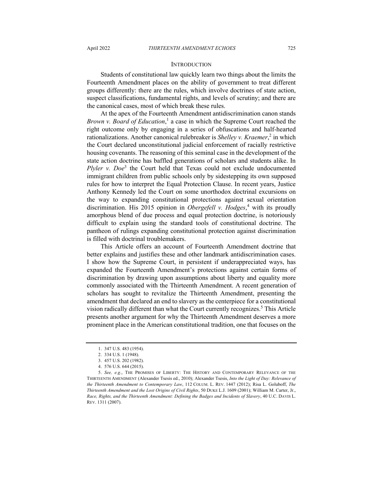#### **INTRODUCTION**

Students of constitutional law quickly learn two things about the limits the Fourteenth Amendment places on the ability of government to treat different groups differently: there are the rules, which involve doctrines of state action, suspect classifications, fundamental rights, and levels of scrutiny; and there are the canonical cases, most of which break these rules.

At the apex of the Fourteenth Amendment antidiscrimination canon stands *Brown v. Board of Education*, <sup>1</sup> a case in which the Supreme Court reached the right outcome only by engaging in a series of obfuscations and half-hearted rationalizations. Another canonical rulebreaker is *Shelley v. Kraemer*,<sup>2</sup> in which the Court declared unconstitutional judicial enforcement of racially restrictive housing covenants. The reasoning of this seminal case in the development of the state action doctrine has baffled generations of scholars and students alike. In *Plyler v. Doe<sup>3</sup>* the Court held that Texas could not exclude undocumented immigrant children from public schools only by sidestepping its own supposed rules for how to interpret the Equal Protection Clause. In recent years, Justice Anthony Kennedy led the Court on some unorthodox doctrinal excursions on the way to expanding constitutional protections against sexual orientation discrimination. His 2015 opinion in *Obergefell v. Hodges*, <sup>4</sup> with its proudly amorphous blend of due process and equal protection doctrine, is notoriously difficult to explain using the standard tools of constitutional doctrine. The pantheon of rulings expanding constitutional protection against discrimination is filled with doctrinal troublemakers.

This Article offers an account of Fourteenth Amendment doctrine that better explains and justifies these and other landmark antidiscrimination cases. I show how the Supreme Court, in persistent if underappreciated ways, has expanded the Fourteenth Amendment's protections against certain forms of discrimination by drawing upon assumptions about liberty and equality more commonly associated with the Thirteenth Amendment. A recent generation of scholars has sought to revitalize the Thirteenth Amendment, presenting the amendment that declared an end to slavery as the centerpiece for a constitutional vision radically different than what the Court currently recognizes.<sup>5</sup> This Article presents another argument for why the Thirteenth Amendment deserves a more prominent place in the American constitutional tradition, one that focuses on the

<sup>1.</sup> 347 U.S. 483 (1954).

<sup>2.</sup> 334 U.S. 1 (1948).

<sup>3.</sup> 457 U.S. 202 (1982).

<sup>4.</sup> 576 U.S. 644 (2015).

<sup>5.</sup> *See, e.g.*, THE PROMISES OF LIBERTY: THE HISTORY AND CONTEMPORARY RELEVANCE OF THE THIRTEENTH AMENDMENT (Alexander Tsesis ed., 2010); Alexander Tsesis, *Into the Light of Day: Relevance of the Thirteenth Amendment to Contemporary Law*, 112 COLUM. L. REV. 1447 (2012); Risa L. Goluboff, *The Thirteenth Amendment and the Lost Origins of Civil Rights*, 50 DUKE L.J. 1609 (2001); William M. Carter, Jr., *Race, Rights, and the Thirteenth Amendment: Defining the Badges and Incidents of Slavery*, 40 U.C. DAVIS L. REV. 1311 (2007).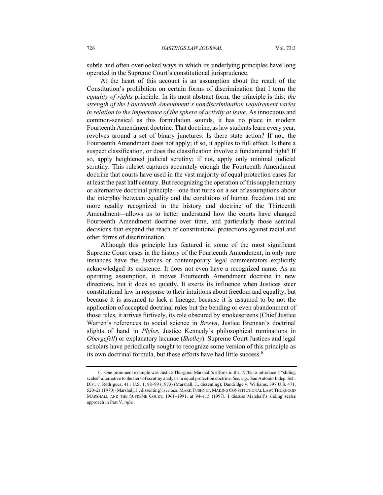subtle and often overlooked ways in which its underlying principles have long operated in the Supreme Court's constitutional jurisprudence.

At the heart of this account is an assumption about the reach of the Constitution's prohibition on certain forms of discrimination that I term the *equality of rights* principle. In its most abstract form, the principle is this: *the strength of the Fourteenth Amendment's nondiscrimination requirement varies in relation to the importance of the sphere of activity at issue*. As innocuous and common-sensical as this formulation sounds, it has no place in modern Fourteenth Amendment doctrine. That doctrine, as law students learn every year, revolves around a set of binary junctures: Is there state action? If not, the Fourteenth Amendment does not apply; if so, it applies to full effect. Is there a suspect classification, or does the classification involve a fundamental right? If so, apply heightened judicial scrutiny; if not, apply only minimal judicial scrutiny. This ruleset captures accurately enough the Fourteenth Amendment doctrine that courts have used in the vast majority of equal protection cases for at least the past half century. But recognizing the operation of this supplementary or alternative doctrinal principle—one that turns on a set of assumptions about the interplay between equality and the conditions of human freedom that are more readily recognized in the history and doctrine of the Thirteenth Amendment—allows us to better understand how the courts have changed Fourteenth Amendment doctrine over time, and particularly those seminal decisions that expand the reach of constitutional protections against racial and other forms of discrimination.

Although this principle has featured in some of the most significant Supreme Court cases in the history of the Fourteenth Amendment, in only rare instances have the Justices or contemporary legal commentators explicitly acknowledged its existence. It does not even have a recognized name. As an operating assumption, it moves Fourteenth Amendment doctrine in new directions, but it does so quietly. It exerts its influence when Justices steer constitutional law in response to their intuitions about freedom and equality, but because it is assumed to lack a lineage, because it is assumed to be not the application of accepted doctrinal rules but the bending or even abandonment of those rules, it arrives furtively, its role obscured by smokescreens (Chief Justice Warren's references to social science in *Brown*, Justice Brennan's doctrinal slights of hand in *Plyler*, Justice Kennedy's philosophical ruminations in *Obergefell*) or explanatory lacunae (*Shelley*). Supreme Court Justices and legal scholars have periodically sought to recognize some version of this principle as its own doctrinal formula, but these efforts have had little success.<sup>6</sup>

<sup>6.</sup> One prominent example was Justice Thurgood Marshall's efforts in the 1970s to introduce a "sliding scales" alternative to the tiers of scrutiny analysis in equal protection doctrine. *See, e.g.*, San Antonio Indep. Sch. Dist. v. Rodriguez, 411 U.S. 1, 98–99 (1973) (Marshall, J., dissenting); Dandridge v. Williams, 397 U.S. 471, 520–21 (1970) (Marshall, J., dissenting); *see also* MARK TUSHNET, MAKING CONSTITUTIONAL LAW: THURGOOD MARSHALL AND THE SUPREME COURT, 1961–1991, at 94–115 (1997). I discuss Marshall's sliding scales approach in Part V, *infra*.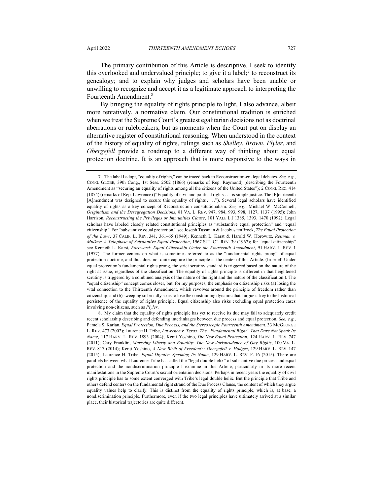The primary contribution of this Article is descriptive. I seek to identify this overlooked and undervalued principle; to give it a label;<sup>7</sup> to reconstruct its genealogy; and to explain why judges and scholars have been unable or unwilling to recognize and accept it as a legitimate approach to interpreting the Fourteenth Amendment.<sup>8</sup>

By bringing the equality of rights principle to light, I also advance, albeit more tentatively, a normative claim. Our constitutional tradition is enriched when we treat the Supreme Court's greatest egalitarian decisions not as doctrinal aberrations or rulebreakers, but as moments when the Court put on display an alternative register of constitutional reasoning. When understood in the context of the history of equality of rights, rulings such as *Shelley*, *Brown*, *Plyler*, and *Obergefell* provide a roadmap to a different way of thinking about equal protection doctrine. It is an approach that is more responsive to the ways in

<sup>7.</sup> The label I adopt, "equality of rights," can be traced back to Reconstruction-era legal debates. *See, e.g.*, CONG. GLOBE, 39th Cong., 1st Sess. 2502 (1866) (remarks of Rep. Raymond) (describing the Fourteenth Amendment as "securing an equality of rights among all the citizens of the United States"); 2 CONG. REC. 414 (1874) (remarks of Rep. Lawrence) ("Equality of civil and political rights . . . is simple justice. The [F]ourteenth [A]mendment was designed to secure this equality of rights . . . ."). Several legal scholars have identified equality of rights as a key concept of Reconstruction constitutionalism. *See, e.g.*, Michael W. McConnell, *Originalism and the Desegregation Decisions*, 81 VA. L. REV. 947, 984, 993, 998, 1127, 1137 (1995); John Harrison, *Reconstructing the Privileges or Immunities Clause*, 101 YALE L.J 1385, 1393, 1470 (1992). Legal scholars have labeled closely related constitutional principles as "substantive equal protection" and "equal citizenship." For "substantive equal protection," see Joseph Tussman & Jacobus tenBroek, *The Equal Protection of the Laws*, 37 CALIF. L. REV. 341, 361–65 (1949); Kenneth L. Karst & Harold W. Horowitz, *Reitman v. Mulkey: A Telophase of Substantive Equal Protection*, 1967 SUP. CT. REV. 39 (1967); for "equal citizenship" see Kenneth L. Karst, *Foreword: Equal Citizenship Under the Fourteenth Amendment*, 91 HARV. L. REV. 1 (1977). The former centers on what is sometimes referred to as the "fundamental rights prong" of equal protection doctrine, and thus does not quite capture the principle at the center of this Article. (In brief: Under equal protection's fundamental rights prong, the strict scrutiny standard is triggered based on the nature of the right at issue, regardless of the classification. The equality of rights principle is different in that heightened scrutiny is triggered by a combined analysis of the nature of the right and the nature of the classification.). The "equal citizenship" concept comes closer, but, for my purposes, the emphasis on citizenship risks (a) losing the vital connection to the Thirteenth Amendment, which revolves around the principle of freedom rather than citizenship; and (b) sweeping so broadly so as to lose the constraining dynamic that I argue is key to the historical persistence of the equality of rights principle. Equal citizenship also risks excluding equal protection cases involving non-citizens, such as *Plyler*.

<sup>8.</sup> My claim that the equality of rights principle has yet to receive its due may fail to adequately credit recent scholarship describing and defending interlinkages between due process and equal protection. *See, e.g.*, Pamela S. Karlan, *Equal Protection, Due Process, and the Stereoscopic Fourteenth Amendment*, 33 MCGEORGE L. REV. 473 (2002); Laurence H. Tribe, *Lawrence v. Texas: The "Fundamental Right" That Dare Not Speak Its Name*, 117 HARV. L. REV. 1893 (2004); Kenji Yoshino, *The New Equal Protection*, 124 HARV. L. REV. 747 (2011); Cary Franklin, *Marrying Liberty and Equality: The New Jurisprudence of Gay Rights*, 100 VA. L. REV. 817 (2014); Kenji Yoshino, *A New Birth of Freedom?: Obergefell v. Hodges*, 129 HARV. L. REV. 147 (2015); Laurence H. Tribe, *Equal Dignity: Speaking Its Name*, 129 HARV. L. REV. F. 16 (2015). There are parallels between what Laurence Tribe has called the "legal double helix" of substantive due process and equal protection and the nondiscrimination principle I examine in this Article, particularly in its more recent manifestations in the Supreme Court's sexual orientation decisions. Perhaps in recent years the equality of civil rights principle has to some extent converged with Tribe's legal double helix. But the principle that Tribe and others defend centers on the fundamental right strand of the Due Process Clause, the content of which they argue equality values help to clarify. This is distinct from the equality of rights principle, which is, at base, a nondiscrimination principle. Furthermore, even if the two legal principles have ultimately arrived at a similar place, their historical trajectories are quite different.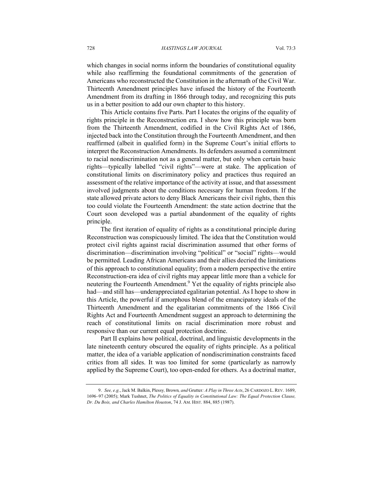which changes in social norms inform the boundaries of constitutional equality while also reaffirming the foundational commitments of the generation of Americans who reconstructed the Constitution in the aftermath of the Civil War. Thirteenth Amendment principles have infused the history of the Fourteenth Amendment from its drafting in 1866 through today, and recognizing this puts us in a better position to add our own chapter to this history.

This Article contains five Parts. Part I locates the origins of the equality of rights principle in the Reconstruction era. I show how this principle was born from the Thirteenth Amendment, codified in the Civil Rights Act of 1866, injected back into the Constitution through the Fourteenth Amendment, and then reaffirmed (albeit in qualified form) in the Supreme Court's initial efforts to interpret the Reconstruction Amendments. Its defenders assumed a commitment to racial nondiscrimination not as a general matter, but only when certain basic rights—typically labelled "civil rights"—were at stake. The application of constitutional limits on discriminatory policy and practices thus required an assessment of the relative importance of the activity at issue, and that assessment involved judgments about the conditions necessary for human freedom. If the state allowed private actors to deny Black Americans their civil rights, then this too could violate the Fourteenth Amendment: the state action doctrine that the Court soon developed was a partial abandonment of the equality of rights principle.

The first iteration of equality of rights as a constitutional principle during Reconstruction was conspicuously limited. The idea that the Constitution would protect civil rights against racial discrimination assumed that other forms of discrimination—discrimination involving "political" or "social" rights—would be permitted. Leading African Americans and their allies decried the limitations of this approach to constitutional equality; from a modern perspective the entire Reconstruction-era idea of civil rights may appear little more than a vehicle for neutering the Fourteenth Amendment.<sup>9</sup> Yet the equality of rights principle also had—and still has—underappreciated egalitarian potential. As I hope to show in this Article, the powerful if amorphous blend of the emancipatory ideals of the Thirteenth Amendment and the egalitarian commitments of the 1866 Civil Rights Act and Fourteenth Amendment suggest an approach to determining the reach of constitutional limits on racial discrimination more robust and responsive than our current equal protection doctrine.

Part II explains how political, doctrinal, and linguistic developments in the late nineteenth century obscured the equality of rights principle. As a political matter, the idea of a variable application of nondiscrimination constraints faced critics from all sides. It was too limited for some (particularly as narrowly applied by the Supreme Court), too open-ended for others. As a doctrinal matter,

<sup>9.</sup> *See, e.g.*, Jack M. Balkin, Plessy*,* Brown*, and* Grutter*: A Play in Three Acts*, 26 CARDOZO L.REV. 1689, 1696–97 (2005); Mark Tushnet, *The Politics of Equality in Constitutional Law: The Equal Protection Clause, Dr. Du Bois, and Charles Hamilton Houston*, 74 J. AM. HIST. 884, 885 (1987).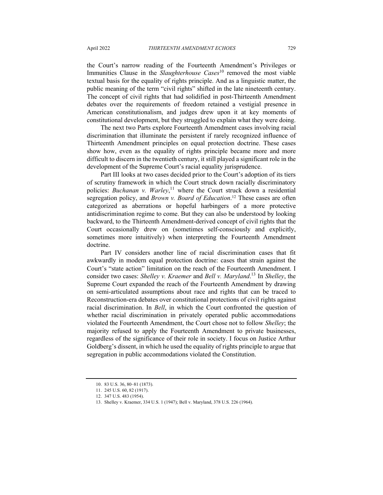the Court's narrow reading of the Fourteenth Amendment's Privileges or Immunities Clause in the *Slaughterhouse Cases*<sup>10</sup> removed the most viable textual basis for the equality of rights principle. And as a linguistic matter, the public meaning of the term "civil rights" shifted in the late nineteenth century. The concept of civil rights that had solidified in post-Thirteenth Amendment debates over the requirements of freedom retained a vestigial presence in American constitutionalism, and judges drew upon it at key moments of constitutional development, but they struggled to explain what they were doing.

The next two Parts explore Fourteenth Amendment cases involving racial discrimination that illuminate the persistent if rarely recognized influence of Thirteenth Amendment principles on equal protection doctrine. These cases show how, even as the equality of rights principle became more and more difficult to discern in the twentieth century, it still played a significant role in the development of the Supreme Court's racial equality jurisprudence.

Part III looks at two cases decided prior to the Court's adoption of its tiers of scrutiny framework in which the Court struck down racially discriminatory policies: *Buchanan v. Warley*, <sup>11</sup> where the Court struck down a residential segregation policy, and *Brown v. Board of Education*. <sup>12</sup> These cases are often categorized as aberrations or hopeful harbingers of a more protective antidiscrimination regime to come. But they can also be understood by looking backward, to the Thirteenth Amendment-derived concept of civil rights that the Court occasionally drew on (sometimes self-consciously and explicitly, sometimes more intuitively) when interpreting the Fourteenth Amendment doctrine.

Part IV considers another line of racial discrimination cases that fit awkwardly in modern equal protection doctrine: cases that strain against the Court's "state action" limitation on the reach of the Fourteenth Amendment. I consider two cases: *Shelley v. Kraemer* and *Bell v. Maryland*. <sup>13</sup> In *Shelley*, the Supreme Court expanded the reach of the Fourteenth Amendment by drawing on semi-articulated assumptions about race and rights that can be traced to Reconstruction-era debates over constitutional protections of civil rights against racial discrimination. In *Bell*, in which the Court confronted the question of whether racial discrimination in privately operated public accommodations violated the Fourteenth Amendment, the Court chose not to follow *Shelley*; the majority refused to apply the Fourteenth Amendment to private businesses, regardless of the significance of their role in society. I focus on Justice Arthur Goldberg's dissent, in which he used the equality of rights principle to argue that segregation in public accommodations violated the Constitution.

<sup>10.</sup> 83 U.S. 36, 80–81 (1873).

<sup>11.</sup> 245 U.S. 60, 82 (1917).

<sup>12.</sup> 347 U.S. 483 (1954).

<sup>13.</sup> Shelley v. Kraemer, 334 U.S. 1 (1947); Bell v. Maryland, 378 U.S. 226 (1964).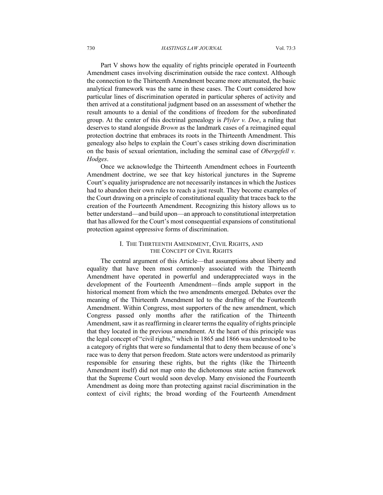Part V shows how the equality of rights principle operated in Fourteenth Amendment cases involving discrimination outside the race context. Although the connection to the Thirteenth Amendment became more attenuated, the basic analytical framework was the same in these cases. The Court considered how particular lines of discrimination operated in particular spheres of activity and then arrived at a constitutional judgment based on an assessment of whether the result amounts to a denial of the conditions of freedom for the subordinated group. At the center of this doctrinal genealogy is *Plyler v. Doe*, a ruling that deserves to stand alongside *Brown* as the landmark cases of a reimagined equal protection doctrine that embraces its roots in the Thirteenth Amendment. This genealogy also helps to explain the Court's cases striking down discrimination on the basis of sexual orientation, including the seminal case of *Obergefell v. Hodges*.

Once we acknowledge the Thirteenth Amendment echoes in Fourteenth Amendment doctrine, we see that key historical junctures in the Supreme Court's equality jurisprudence are not necessarily instances in which the Justices had to abandon their own rules to reach a just result. They become examples of the Court drawing on a principle of constitutional equality that traces back to the creation of the Fourteenth Amendment. Recognizing this history allows us to better understand—and build upon—an approach to constitutional interpretation that has allowed for the Court's most consequential expansions of constitutional protection against oppressive forms of discrimination.

#### I. THE THIRTEENTH AMENDMENT, CIVIL RIGHTS, AND THE CONCEPT OF CIVIL RIGHTS

The central argument of this Article—that assumptions about liberty and equality that have been most commonly associated with the Thirteenth Amendment have operated in powerful and underappreciated ways in the development of the Fourteenth Amendment—finds ample support in the historical moment from which the two amendments emerged. Debates over the meaning of the Thirteenth Amendment led to the drafting of the Fourteenth Amendment. Within Congress, most supporters of the new amendment, which Congress passed only months after the ratification of the Thirteenth Amendment, saw it as reaffirming in clearer terms the equality of rights principle that they located in the previous amendment. At the heart of this principle was the legal concept of "civil rights," which in 1865 and 1866 was understood to be a category of rights that were so fundamental that to deny them because of one's race was to deny that person freedom. State actors were understood as primarily responsible for ensuring these rights, but the rights (like the Thirteenth Amendment itself) did not map onto the dichotomous state action framework that the Supreme Court would soon develop. Many envisioned the Fourteenth Amendment as doing more than protecting against racial discrimination in the context of civil rights; the broad wording of the Fourteenth Amendment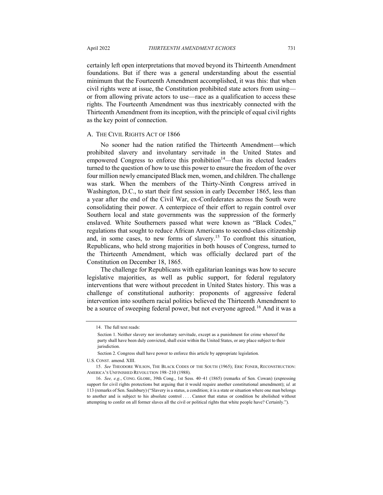certainly left open interpretations that moved beyond its Thirteenth Amendment foundations. But if there was a general understanding about the essential minimum that the Fourteenth Amendment accomplished, it was this: that when civil rights were at issue, the Constitution prohibited state actors from using or from allowing private actors to use—race as a qualification to access these rights. The Fourteenth Amendment was thus inextricably connected with the Thirteenth Amendment from its inception, with the principle of equal civil rights as the key point of connection.

#### A. THE CIVIL RIGHTS ACT OF 1866

No sooner had the nation ratified the Thirteenth Amendment—which prohibited slavery and involuntary servitude in the United States and empowered Congress to enforce this prohibition<sup>14</sup>—than its elected leaders turned to the question of how to use this power to ensure the freedom of the over four million newly emancipated Black men, women, and children. The challenge was stark. When the members of the Thirty-Ninth Congress arrived in Washington, D.C., to start their first session in early December 1865, less than a year after the end of the Civil War, ex-Confederates across the South were consolidating their power. A centerpiece of their effort to regain control over Southern local and state governments was the suppression of the formerly enslaved. White Southerners passed what were known as "Black Codes," regulations that sought to reduce African Americans to second-class citizenship and, in some cases, to new forms of slavery.<sup>15</sup> To confront this situation, Republicans, who held strong majorities in both houses of Congress, turned to the Thirteenth Amendment, which was officially declared part of the Constitution on December 18, 1865.

The challenge for Republicans with egalitarian leanings was how to secure legislative majorities, as well as public support, for federal regulatory interventions that were without precedent in United States history. This was a challenge of constitutional authority: proponents of aggressive federal intervention into southern racial politics believed the Thirteenth Amendment to be a source of sweeping federal power, but not everyone agreed.<sup>16</sup> And it was a

<sup>14.</sup> The full text reads:

Section 1. Neither slavery nor involuntary servitude, except as a punishment for crime whereof the party shall have been duly convicted, shall exist within the United States, or any place subject to their iurisdiction

Section 2. Congress shall have power to enforce this article by appropriate legislation.

U.S. CONST. amend. XIII.

<sup>15.</sup> *See* THEODORE WILSON, THE BLACK CODES OF THE SOUTH (1965); ERIC FONER, RECONSTRUCTION: AMERICA'S UNFINISHED REVOLUTION 198–210 (1988).

<sup>16.</sup> *See, e.g.*, CONG. GLOBE, 39th Cong., 1st Sess. 40–41 (1865) (remarks of Sen. Cowan) (expressing support for civil rights protections but arguing that it would require another constitutional amendment); *id.* at 113 (remarks of Sen. Saulsbury) ("Slavery is a status, a condition; it is a state or situation where one man belongs to another and is subject to his absolute control . . . . Cannot that status or condition be abolished without attempting to confer on all former slaves all the civil or political rights that white people have? Certainly.").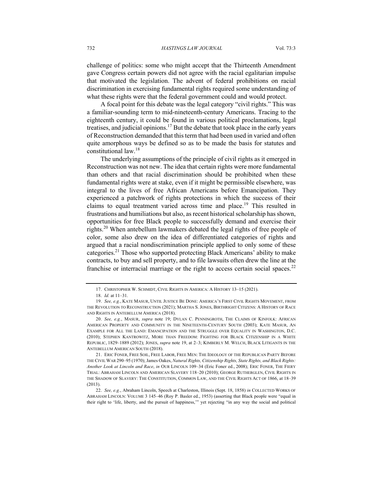challenge of politics: some who might accept that the Thirteenth Amendment gave Congress certain powers did not agree with the racial egalitarian impulse that motivated the legislation. The advent of federal prohibitions on racial discrimination in exercising fundamental rights required some understanding of what these rights were that the federal government could and would protect.

A focal point for this debate was the legal category "civil rights." This was a familiar-sounding term to mid-nineteenth-century Americans. Tracing to the eighteenth century, it could be found in various political proclamations, legal treatises, and judicial opinions.<sup>17</sup> But the debate that took place in the early years of Reconstruction demanded that this term that had been used in varied and often quite amorphous ways be defined so as to be made the basis for statutes and constitutional law.18

The underlying assumptions of the principle of civil rights as it emerged in Reconstruction was not new. The idea that certain rights were more fundamental than others and that racial discrimination should be prohibited when these fundamental rights were at stake, even if it might be permissible elsewhere, was integral to the lives of free African Americans before Emancipation. They experienced a patchwork of rights protections in which the success of their claims to equal treatment varied across time and place.<sup>19</sup> This resulted in frustrations and humiliations but also, as recent historical scholarship has shown, opportunities for free Black people to successfully demand and exercise their rights.<sup>20</sup> When antebellum lawmakers debated the legal rights of free people of color, some also drew on the idea of differentiated categories of rights and argued that a racial nondiscrimination principle applied to only some of these categories.21 Those who supported protecting Black Americans' ability to make contracts, to buy and sell property, and to file lawsuits often drew the line at the franchise or interracial marriage or the right to access certain social spaces.<sup>22</sup>

<sup>17.</sup> CHRISTOPHER W. SCHMIDT, CIVIL RIGHTS IN AMERICA: A HISTORY 13–15 (2021).

<sup>18.</sup> *Id.* at 11–31.

<sup>19.</sup> *See, e.g.*, KATE MASUR, UNTIL JUSTICE BE DONE: AMERICA'S FIRST CIVIL RIGHTS MOVEMENT, FROM THE REVOLUTION TO RECONSTRUCTION (2021); MARTHA S. JONES, BIRTHRIGHT CITIZENS: A HISTORY OF RACE AND RIGHTS IN ANTEBELLUM AMERICA (2018).

<sup>20.</sup> *See, e.g.*, MASUR, *supra* note 19; DYLAN C. PENNINGROTH, THE CLAIMS OF KINFOLK: AFRICAN AMERICAN PROPERTY AND COMMUNITY IN THE NINETEENTH-CENTURY SOUTH (2003); KATE MASUR, AN EXAMPLE FOR ALL THE LAND: EMANCIPATION AND THE STRUGGLE OVER EQUALITY IN WASHINGTON, D.C. (2010); STEPHEN KANTROWITZ, MORE THAN FREEDOM: FIGHTING FOR BLACK CITIZENSHIP IN A WHITE REPUBLIC, 1829–1889 (2012); JONES, *supra* note 19, at 2–3; KIMBERLY M. WELCH, BLACK LITIGANTS IN THE ANTEBELLUM AMERICAN SOUTH (2018).

<sup>21.</sup> ERIC FONER, FREE SOIL, FREE LABOR, FREE MEN: THE IDEOLOGY OF THE REPUBLICAN PARTY BEFORE THE CIVIL WAR 290–95 (1970); James Oakes, *Natural Rights, Citizenship Rights, State Rights, and Black Rights: Another Look at Lincoln and Race*, *in* OUR LINCOLN 109–34 (Eric Foner ed., 2008); ERIC FONER, THE FIERY TRIAL: ABRAHAM LINCOLN AND AMERICAN SLAVERY 118–20 (2010); GEORGE RUTHERGLEN, CIVIL RIGHTS IN THE SHADOW OF SLAVERY: THE CONSTITUTION, COMMON LAW, AND THE CIVIL RIGHTS ACT OF 1866, at 18–39 (2013).

<sup>22.</sup> *See, e.g.*, Abraham Lincoln, Speech at Charleston, Illinois (Sept. 18, 1858) *in* COLLECTED WORKS OF ABRAHAM LINCOLN: VOLUME 3 145–46 (Roy P. Basler ed., 1953) (asserting that Black people were "equal in their right to 'life, liberty, and the pursuit of happiness,'" yet rejecting "in any way the social and political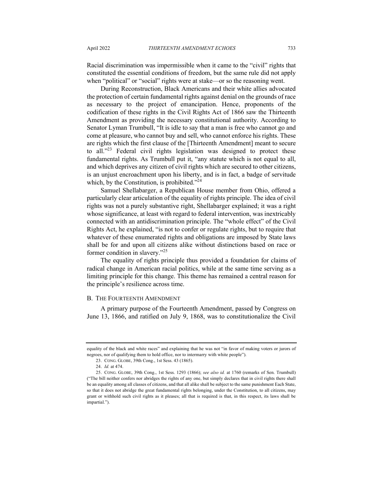Racial discrimination was impermissible when it came to the "civil" rights that constituted the essential conditions of freedom, but the same rule did not apply when "political" or "social" rights were at stake—or so the reasoning went.

During Reconstruction, Black Americans and their white allies advocated the protection of certain fundamental rights against denial on the grounds of race as necessary to the project of emancipation. Hence, proponents of the codification of these rights in the Civil Rights Act of 1866 saw the Thirteenth Amendment as providing the necessary constitutional authority. According to Senator Lyman Trumbull, "It is idle to say that a man is free who cannot go and come at pleasure, who cannot buy and sell, who cannot enforce his rights. These are rights which the first clause of the [Thirteenth Amendment] meant to secure to all."<sup>23</sup> Federal civil rights legislation was designed to protect these fundamental rights. As Trumbull put it, "any statute which is not equal to all, and which deprives any citizen of civil rights which are secured to other citizens, is an unjust encroachment upon his liberty, and is in fact, a badge of servitude which, by the Constitution, is prohibited."<sup>24</sup>

Samuel Shellabarger, a Republican House member from Ohio, offered a particularly clear articulation of the equality of rights principle. The idea of civil rights was not a purely substantive right, Shellabarger explained; it was a right whose significance, at least with regard to federal intervention, was inextricably connected with an antidiscrimination principle. The "whole effect" of the Civil Rights Act, he explained, "is not to confer or regulate rights, but to require that whatever of these enumerated rights and obligations are imposed by State laws shall be for and upon all citizens alike without distinctions based on race or former condition in slavery."<sup>25</sup>

The equality of rights principle thus provided a foundation for claims of radical change in American racial politics, while at the same time serving as a limiting principle for this change. This theme has remained a central reason for the principle's resilience across time.

#### B. THE FOURTEENTH AMENDMENT

A primary purpose of the Fourteenth Amendment, passed by Congress on June 13, 1866, and ratified on July 9, 1868, was to constitutionalize the Civil

equality of the black and white races" and explaining that he was not "in favor of making voters or jurors of negroes, nor of qualifying them to hold office, nor to intermarry with white people").

<sup>23.</sup> CONG. GLOBE, 39th Cong., 1st Sess. 43 (1865).

<sup>24.</sup> *Id.* at 474.

<sup>25.</sup> CONG. GLOBE, 39th Cong., 1st Sess. 1293 (1866); *see also id.* at 1760 (remarks of Sen. Trumbull) ("The bill neither confers nor abridges the rights of any one, but simply declares that in civil rights there shall be an equality among all classes of citizens, and that all alike shall be subject to the same punishment Each State, so that it does not abridge the great fundamental rights belonging, under the Constitution, to all citizens, may grant or withhold such civil rights as it pleases; all that is required is that, in this respect, its laws shall be impartial.").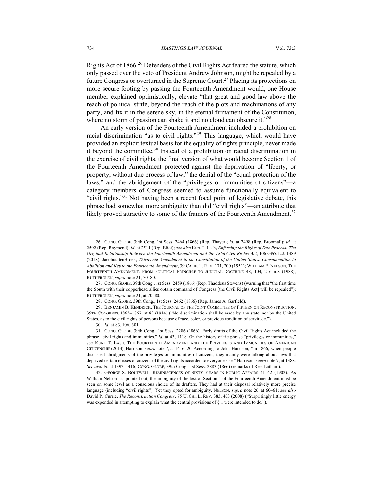Rights Act of 1866.<sup>26</sup> Defenders of the Civil Rights Act feared the statute, which only passed over the veto of President Andrew Johnson, might be repealed by a future Congress or overturned in the Supreme Court.<sup>27</sup> Placing its protections on more secure footing by passing the Fourteenth Amendment would, one House member explained optimistically, elevate "that great and good law above the reach of political strife, beyond the reach of the plots and machinations of any party, and fix it in the serene sky, in the eternal firmament of the Constitution, where no storm of passion can shake it and no cloud can obscure it."<sup>28</sup>

An early version of the Fourteenth Amendment included a prohibition on racial discrimination "as to civil rights."<sup>29</sup> This language, which would have provided an explicit textual basis for the equality of rights principle, never made it beyond the committee.<sup>30</sup> Instead of a prohibition on racial discrimination in the exercise of civil rights, the final version of what would become Section 1 of the Fourteenth Amendment protected against the deprivation of "liberty, or property, without due process of law," the denial of the "equal protection of the laws," and the abridgement of the "privileges or immunities of citizens"—a category members of Congress seemed to assume functionally equivalent to "civil rights."<sup>31</sup> Not having been a recent focal point of legislative debate, this phrase had somewhat more ambiguity than did "civil rights"—an attribute that likely proved attractive to some of the framers of the Fourteenth Amendment.<sup>32</sup>

30. *Id.* at 83, 106, 301.

<sup>26.</sup> CONG. GLOBE, 39th Cong, 1st Sess. 2464 (1866) (Rep. Thayer); *id.* at 2498 (Rep. Broomall); *id.* at 2502 (Rep. Raymond); *id.* at 2511 (Rep. Eliot); *see also* Kurt T. Lash, *Enforcing the Rights of Due Process: The Original Relationship Between the Fourteenth Amendment and the 1866 Civil Rights Act*, 106 GEO. L.J. 1389 (2018); Jacobus tenBroek, *Thirteenth Amendment to the Constitution of the United States: Consummation to Abolition and Key to the Fourteenth Amendment*, 39 CALIF. L. REV. 171, 200 (1951); WILLIAM E. NELSON, THE FOURTEENTH AMENDMENT: FROM POLITICAL PRINCIPLE TO JUDICIAL DOCTRINE 48, 104, 216 n.8 (1988); RUTHERGLEN, *supra* note 21, 70–80.

<sup>27.</sup> CONG. GLOBE, 39th Cong., 1st Sess. 2459 (1866) (Rep. Thaddeus Stevens) (warning that "the first time the South with their copperhead allies obtain command of Congress [the Civil Rights Act] will be repealed"); RUTHERGLEN, *supra* note 21, at 70–80.

<sup>28.</sup> CONG. GLOBE, 39th Cong., 1st Sess. 2462 (1866) (Rep. James A. Garfield).

<sup>29.</sup> BENJAMIN B. KENDRICK, THE JOURNAL OF THE JOINT COMMITTEE OF FIFTEEN ON RECONSTRUCTION, 39TH CONGRESS, 1865–1867, at 83 (1914) ("No discrimination shall be made by any state, nor by the United States, as to the civil rights of persons because of race, color, or previous condition of servitude.").

<sup>31.</sup> CONG. GLOBE, 39th Cong., 1st Sess. 2286 (1866). Early drafts of the Civil Rights Act included the phrase "civil rights and immunities." *Id.* at 43, 1118. On the history of the phrase "privileges or immunities," see KURT T. LASH, THE FOURTEENTH AMENDMENT AND THE PRIVILEGES AND IMMUNITIES OF AMERICAN CITIZENSHIP (2014); Harrison, *supra* note 7, at 1416–20. According to John Harrison, "in 1866, when people discussed abridgments of the privileges or immunities of citizens, they mainly were talking about laws that deprived certain classes of citizens of the civil rights accorded to everyone else." Harrison, *supra* note 7, at 1388. *See also id*. at 1397, 1416; CONG. GLOBE, 39th Cong., 1st Sess. 2883 (1866) (remarks of Rep. Latham).

<sup>32.</sup> GEORGE S. BOUTWELL, REMINISCENCES OF SIXTY YEARS IN PUBLIC AFFAIRS 41–42 (1902). As William Nelson has pointed out, the ambiguity of the text of Section 1 of the Fourteenth Amendment must be seen on some level as a conscious choice of its drafters. They had at their disposal relatively more precise language (including "civil rights"). Yet they opted for ambiguity. NELSON, *supra* note 26, at 60–61; *see also* David P. Currie, *The Reconstruction Congress*, 75 U. CHI. L. REV. 383, 403 (2008) ("Surprisingly little energy was expended in attempting to explain what the central provisions of § 1 were intended to do.").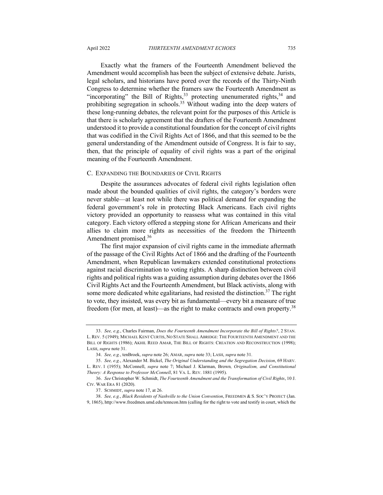Exactly what the framers of the Fourteenth Amendment believed the Amendment would accomplish has been the subject of extensive debate. Jurists, legal scholars, and historians have pored over the records of the Thirty-Ninth Congress to determine whether the framers saw the Fourteenth Amendment as "incorporating" the Bill of Rights,  $33$  protecting unenumerated rights,  $34$  and prohibiting segregation in schools.<sup>35</sup> Without wading into the deep waters of these long-running debates, the relevant point for the purposes of this Article is that there is scholarly agreement that the drafters of the Fourteenth Amendment understood it to provide a constitutional foundation for the concept of civil rights that was codified in the Civil Rights Act of 1866, and that this seemed to be the general understanding of the Amendment outside of Congress. It is fair to say, then, that the principle of equality of civil rights was a part of the original meaning of the Fourteenth Amendment.

#### C. EXPANDING THE BOUNDARIES OF CIVIL RIGHTS

Despite the assurances advocates of federal civil rights legislation often made about the bounded qualities of civil rights, the category's borders were never stable—at least not while there was political demand for expanding the federal government's role in protecting Black Americans. Each civil rights victory provided an opportunity to reassess what was contained in this vital category. Each victory offered a stepping stone for African Americans and their allies to claim more rights as necessities of the freedom the Thirteenth Amendment promised.<sup>36</sup>

The first major expansion of civil rights came in the immediate aftermath of the passage of the Civil Rights Act of 1866 and the drafting of the Fourteenth Amendment, when Republican lawmakers extended constitutional protections against racial discrimination to voting rights. A sharp distinction between civil rights and political rights was a guiding assumption during debates over the 1866 Civil Rights Act and the Fourteenth Amendment, but Black activists, along with some more dedicated white egalitarians, had resisted the distinction.<sup>37</sup> The right to vote, they insisted, was every bit as fundamental—every bit a measure of true freedom (for men, at least)—as the right to make contracts and own property.<sup>38</sup>

<sup>33.</sup> *See, e.g.*, Charles Fairman, *Does the Fourteenth Amendment Incorporate the Bill of Rights?*, 2 STAN. L. REV. 5 (1949); MICHAEL KENT CURTIS, NO STATE SHALL ABRIDGE: THE FOURTEENTH AMENDMENT AND THE BILL OF RIGHTS (1986); AKHIL REED AMAR, THE BILL OF RIGHTS: CREATION AND RECONSTRUCTION (1998); LASH, *supra* note 31.

<sup>34.</sup> *See, e.g.*, tenBroek, *supra* note 26; AMAR, *supra* note 33; LASH, *supra* note 31.

<sup>35.</sup> *See, e.g.*, Alexander M. Bickel, *The Original Understanding and the Segregation Decision*, 69 HARV. L. REV. 1 (1955); McConnell, *supra* note 7; Michael J. Klarman, Brown*, Originalism, and Constitutional Theory: A Response to Professor McConnell*, 81 VA. L. REV. 1881 (1995).

<sup>36.</sup> *See* Christopher W. Schmidt, *The Fourteenth Amendment and the Transformation of Civil Rights*, 10 J. CIV. WAR ERA 81 (2020).

<sup>37.</sup> SCHMIDT, *supra* note 17, at 26.

<sup>38.</sup> *See, e.g.*, *Black Residents of Nashville to the Union Convention*, FREEDMEN & S. SOC'Y PROJECT (Jan. 9, 1865), http://www.freedmen.umd.edu/tenncon.htm (calling for the right to vote and testify in court, which the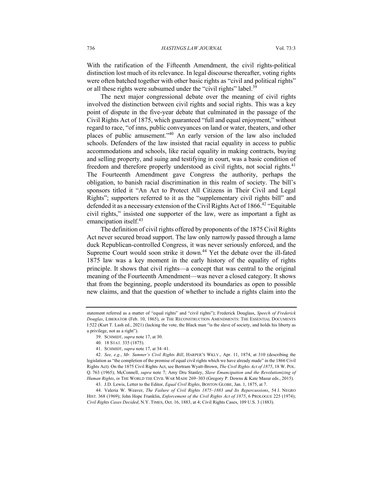With the ratification of the Fifteenth Amendment, the civil rights-political distinction lost much of its relevance. In legal discourse thereafter, voting rights were often batched together with other basic rights as "civil and political rights" or all these rights were subsumed under the "civil rights" label.<sup>39</sup>

The next major congressional debate over the meaning of civil rights involved the distinction between civil rights and social rights. This was a key point of dispute in the five-year debate that culminated in the passage of the Civil Rights Act of 1875, which guaranteed "full and equal enjoyment," without regard to race, "of inns, public conveyances on land or water, theaters, and other places of public amusement."40 An early version of the law also included schools. Defenders of the law insisted that racial equality in access to public accommodations and schools, like racial equality in making contracts, buying and selling property, and suing and testifying in court, was a basic condition of freedom and therefore properly understood as civil rights, not social rights.<sup>41</sup> The Fourteenth Amendment gave Congress the authority, perhaps the obligation, to banish racial discrimination in this realm of society. The bill's sponsors titled it "An Act to Protect All Citizens in Their Civil and Legal Rights"; supporters referred to it as the "supplementary civil rights bill" and defended it as a necessary extension of the Civil Rights Act of  $1866$ <sup>42</sup> "Equitable" civil rights," insisted one supporter of the law, were as important a fight as emancipation itself.<sup>43</sup>

The definition of civil rights offered by proponents of the 1875 Civil Rights Act never secured broad support. The law only narrowly passed through a lame duck Republican-controlled Congress, it was never seriously enforced, and the Supreme Court would soon strike it down.<sup>44</sup> Yet the debate over the ill-fated 1875 law was a key moment in the early history of the equality of rights principle. It shows that civil rights—a concept that was central to the original meaning of the Fourteenth Amendment—was never a closed category. It shows that from the beginning, people understood its boundaries as open to possible new claims, and that the question of whether to include a rights claim into the

44. Valeria W. Weaver, *The Failure of Civil Rights 1875–1883 and Its Repercussions*, 54 J. NEGRO HIST. 368 (1969); John Hope Franklin, *Enforcement of the Civil Rights Act of 1875*, 6 PROLOGUE 225 (1974); *Civil Rights Cases Decided*, N.Y. TIMES, Oct. 16, 1883, at 4; Civil Rights Cases, 109 U.S. 3 (1883).

statement referred as a matter of "equal rights" and "civil rights"); Frederick Douglass, *Speech of Frederick Douglas*, LIBERATOR (Feb. 10, 1865), *in* THE RECONSTRUCTION AMENDMENTS: THE ESSENTIAL DOCUMENTS I:522 (Kurt T. Lash ed., 2021) (lacking the vote, the Black man "is the slave of society, and holds his liberty as a privilege, not as a right").

<sup>39.</sup> SCHMIDT, *supra* note 17, at 30.

<sup>40.</sup> 18 STAT. 335 (1875).

<sup>41.</sup> SCHMIDT, *supra* note 17, at 34–41.

<sup>42.</sup> *See, e.g.*, *Mr. Sumner's Civil Rights Bill*, HARPER'S WKLY., Apr. 11, 1874, at 310 (describing the legislation as "the completion of the promise of equal civil rights which we have already made" in the 1866 Civil Rights Act). On the 1875 Civil Rights Act, see Bertram Wyatt-Brown, *The Civil Rights Act of 1875*, 18 W. POL. Q. 763 (1965); McConnell, *supra* note 7; Amy Dru Stanley, *Slave Emancipation and the Revolutionizing of Human Rights*, *in* THE WORLD THE CIVIL WAR MADE 269–303 (Gregory P. Downs & Kate Masur eds., 2015).

<sup>43.</sup> J.D. Lewis, Letter to the Editor, *Equal Civil Rights*, BOSTON GLOBE, Jan. 1, 1875, at 7.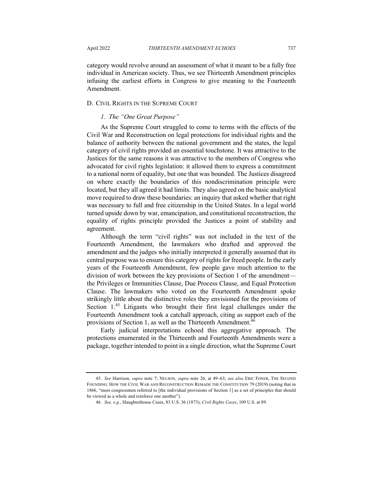category would revolve around an assessment of what it meant to be a fully free individual in American society. Thus, we see Thirteenth Amendment principles infusing the earliest efforts in Congress to give meaning to the Fourteenth Amendment.

## D. CIVIL RIGHTS IN THE SUPREME COURT

## *1. The "One Great Purpose"*

As the Supreme Court struggled to come to terms with the effects of the Civil War and Reconstruction on legal protections for individual rights and the balance of authority between the national government and the states, the legal category of civil rights provided an essential touchstone. It was attractive to the Justices for the same reasons it was attractive to the members of Congress who advocated for civil rights legislation: it allowed them to express a commitment to a national norm of equality, but one that was bounded. The Justices disagreed on where exactly the boundaries of this nondiscrimination principle were located, but they all agreed it had limits. They also agreed on the basic analytical move required to draw these boundaries: an inquiry that asked whether that right was necessary to full and free citizenship in the United States. In a legal world turned upside down by war, emancipation, and constitutional reconstruction, the equality of rights principle provided the Justices a point of stability and agreement.

Although the term "civil rights" was not included in the text of the Fourteenth Amendment, the lawmakers who drafted and approved the amendment and the judges who initially interpreted it generally assumed that its central purpose was to ensure this category of rights for freed people. In the early years of the Fourteenth Amendment, few people gave much attention to the division of work between the key provisions of Section 1 of the amendment the Privileges or Immunities Clause, Due Process Clause, and Equal Protection Clause. The lawmakers who voted on the Fourteenth Amendment spoke strikingly little about the distinctive roles they envisioned for the provisions of Section  $1^{45}$  Litigants who brought their first legal challenges under the Fourteenth Amendment took a catchall approach, citing as support each of the provisions of Section 1, as well as the Thirteenth Amendment.<sup>46</sup>

Early judicial interpretations echoed this aggregative approach. The protections enumerated in the Thirteenth and Fourteenth Amendments were a package, together intended to point in a single direction, what the Supreme Court

<sup>45.</sup> *See* Harrison, *supra* note 7; NELSON, *supra* note 26, at 49–63; *see also* ERIC FONER, THE SECOND FOUNDING: HOW THE CIVIL WAR AND RECONSTRUCTION REMADE THE CONSTITUTION 79 (2019) (noting that in 1866, "most congressmen referred to [the individual provisions of Section 1] as a set of principles that should be viewed as a whole and reinforce one another").

<sup>46.</sup> *See, e.g.*, Slaughterhouse Cases, 83 U.S. 36 (1873); *Civil Rights Cases*, 109 U.S. at 89.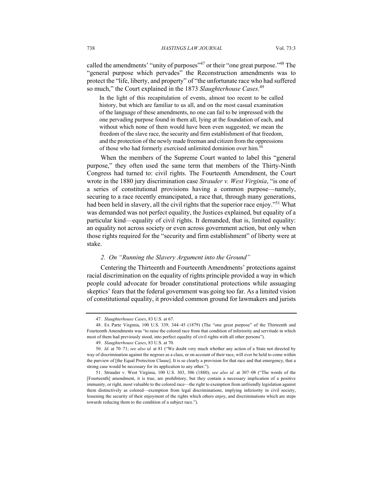called the amendments' "unity of purposes"<sup>47</sup> or their "one great purpose."<sup>48</sup> The "general purpose which pervades" the Reconstruction amendments was to protect the "life, liberty, and property" of "the unfortunate race who had suffered so much," the Court explained in the 1873 *Slaughterhouse Cases*. 49

In the light of this recapitulation of events, almost too recent to be called history, but which are familiar to us all, and on the most casual examination of the language of these amendments, no one can fail to be impressed with the one pervading purpose found in them all, lying at the foundation of each, and without which none of them would have been even suggested; we mean the freedom of the slave race, the security and firm establishment of that freedom, and the protection of the newly made freeman and citizen from the oppressions of those who had formerly exercised unlimited dominion over him.<sup>50</sup>

When the members of the Supreme Court wanted to label this "general purpose," they often used the same term that members of the Thirty-Ninth Congress had turned to: civil rights. The Fourteenth Amendment, the Court wrote in the 1880 jury discrimination case *Strauder v. West Virginia*, "is one of a series of constitutional provisions having a common purpose—namely, securing to a race recently emancipated, a race that, through many generations, had been held in slavery, all the civil rights that the superior race enjoy."<sup>51</sup> What was demanded was not perfect equality, the Justices explained, but equality of a particular kind—equality of civil rights. It demanded, that is, limited equality: an equality not across society or even across government action, but only when those rights required for the "security and firm establishment" of liberty were at stake.

## *2. On "Running the Slavery Argument into the Ground"*

Centering the Thirteenth and Fourteenth Amendments' protections against racial discrimination on the equality of rights principle provided a way in which people could advocate for broader constitutional protections while assuaging skeptics' fears that the federal government was going too far. As a limited vision of constitutional equality, it provided common ground for lawmakers and jurists

<sup>47.</sup> *Slaughterhouse Cases*, 83 U.S. at 67.

<sup>48.</sup> Ex Parte Virginia, 100 U.S. 339, 344–45 (1879) (The "one great purpose" of the Thirteenth and Fourteenth Amendments was "to raise the colored race from that condition of inferiority and servitude in which most of them had previously stood, into perfect equality of civil rights with all other persons").

<sup>49.</sup> *Slaughterhouse Cases*, 83 U.S. at 70.

<sup>50.</sup> *Id.* at 70–71; *see also id.* at 81 ("We doubt very much whether any action of a State not directed by way of discrimination against the negroes as a class, or on account of their race, will ever be held to come within the purview of [the Equal Protection Clause]. It is so clearly a provision for that race and that emergency, that a strong case would be necessary for its application to any other.").

<sup>51.</sup> Strauder v. West Virginia, 100 U.S. 303, 306 (1880); *see also id.* at 307–08 ("The words of the [Fourteenth] amendment, it is true, are prohibitory, but they contain a necessary implication of a positive immunity, or right, most valuable to the colored race—the right to exemption from unfriendly legislation against them distinctively as colored—exemption from legal discriminations, implying inferiority in civil society, lessening the security of their enjoyment of the rights which others enjoy, and discriminations which are steps towards reducing them to the condition of a subject race.").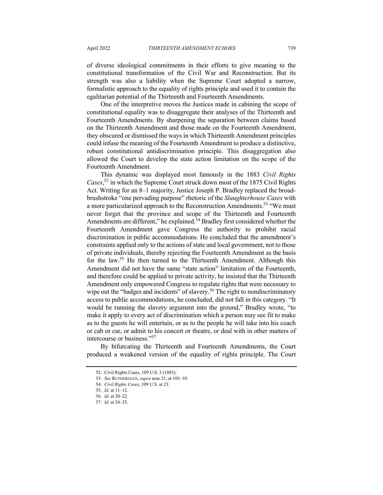of diverse ideological commitments in their efforts to give meaning to the constitutional transformation of the Civil War and Reconstruction. But its strength was also a liability when the Supreme Court adopted a narrow, formalistic approach to the equality of rights principle and used it to contain the egalitarian potential of the Thirteenth and Fourteenth Amendments.

One of the interpretive moves the Justices made in cabining the scope of constitutional equality was to disaggregate their analyses of the Thirteenth and Fourteenth Amendments. By sharpening the separation between claims based on the Thirteenth Amendment and those made on the Fourteenth Amendment, they obscured or dismissed the ways in which Thirteenth Amendment principles could infuse the meaning of the Fourteenth Amendment to produce a distinctive, robust constitutional antidiscrimination principle. This disaggregation also allowed the Court to develop the state action limitation on the scope of the Fourteenth Amendment.

This dynamic was displayed most famously in the 1883 *Civil Rights Cases*, <sup>52</sup> in which the Supreme Court struck down most of the 1875 Civil Rights Act. Writing for an 8–1 majority, Justice Joseph P. Bradley replaced the broadbrushstroke "one pervading purpose" rhetoric of the *Slaughterhouse Cases* with a more particularized approach to the Reconstruction Amendments.<sup>53</sup> "We must never forget that the province and scope of the Thirteenth and Fourteenth Amendments are different," he explained.<sup>54</sup> Bradley first considered whether the Fourteenth Amendment gave Congress the authority to prohibit racial discrimination in public accommodations. He concluded that the amendment's constraints applied only to the actions of state and local government, not to those of private individuals, thereby rejecting the Fourteenth Amendment as the basis for the law.<sup>55</sup> He then turned to the Thirteenth Amendment. Although this Amendment did not have the same "state action" limitation of the Fourteenth, and therefore could be applied to private activity, he insisted that the Thirteenth Amendment only empowered Congress to regulate rights that were necessary to wipe out the "badges and incidents" of slavery.<sup>56</sup> The right to nondiscriminatory access to public accommodations, he concluded, did not fall in this category. "It would be running the slavery argument into the ground," Bradley wrote, "to make it apply to every act of discrimination which a person may see fit to make as to the guests he will entertain, or as to the people he will take into his coach or cab or car, or admit to his concert or theatre, or deal with in other matters of intercourse or business."57

By bifurcating the Thirteenth and Fourteenth Amendments, the Court produced a weakened version of the equality of rights principle. The Court

<sup>52.</sup> Civil Rights Cases, 109 U.S. 3 (1883).

<sup>53.</sup> *See* RUTHERGLEN, *supra* note 21, at 103–10.

<sup>54.</sup> *Civil Rights Cases*, 109 U.S. at 23.

<sup>55.</sup> *Id.* at 11–12.

<sup>56.</sup> *Id.* at 20–22.

<sup>57.</sup> *Id.* at 24–25.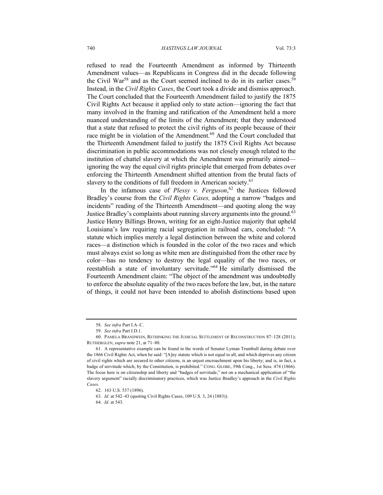refused to read the Fourteenth Amendment as informed by Thirteenth Amendment values—as Republicans in Congress did in the decade following the Civil War<sup>58</sup> and as the Court seemed inclined to do in its earlier cases.<sup>59</sup> Instead, in the *Civil Rights Cases*, the Court took a divide and dismiss approach. The Court concluded that the Fourteenth Amendment failed to justify the 1875 Civil Rights Act because it applied only to state action—ignoring the fact that many involved in the framing and ratification of the Amendment held a more nuanced understanding of the limits of the Amendment; that they understood that a state that refused to protect the civil rights of its people because of their race might be in violation of the Amendment.<sup>60</sup> And the Court concluded that the Thirteenth Amendment failed to justify the 1875 Civil Rights Act because discrimination in public accommodations was not closely enough related to the institution of chattel slavery at which the Amendment was primarily aimed ignoring the way the equal civil rights principle that emerged from debates over enforcing the Thirteenth Amendment shifted attention from the brutal facts of slavery to the conditions of full freedom in American society.<sup>61</sup>

In the infamous case of *Plessy v. Ferguson*, <sup>62</sup> the Justices followed Bradley's course from the *Civil Rights Cases,* adopting a narrow "badges and incidents" reading of the Thirteenth Amendment—and quoting along the way Justice Bradley's complaints about running slavery arguments into the ground.<sup>63</sup> Justice Henry Billings Brown, writing for an eight-Justice majority that upheld Louisiana's law requiring racial segregation in railroad cars, concluded: "A statute which implies merely a legal distinction between the white and colored races—a distinction which is founded in the color of the two races and which must always exist so long as white men are distinguished from the other race by color—has no tendency to destroy the legal equality of the two races, or reestablish a state of involuntary servitude."64 He similarly dismissed the Fourteenth Amendment claim: "The object of the amendment was undoubtedly to enforce the absolute equality of the two races before the law, but, in the nature of things, it could not have been intended to abolish distinctions based upon

<sup>58.</sup> *See infra* Part I.A–C.

<sup>59.</sup> *See infra* Part I.D.1.

<sup>60.</sup> PAMELA BRANDWEIN, RETHINKING THE JUDICIAL SETTLEMENT OF RECONSTRUCTION 87–128 (2011); RUTHERGLEN, *supra* note 21, at 71–80.

<sup>61.</sup> A representative example can be found in the words of Senator Lyman Trumbull during debate over the 1866 Civil Rights Act, when he said: "[A]ny statute which is not equal to all, and which deprives any citizen of civil rights which are secured to other citizens, is an unjust encroachment upon his liberty; and is, in fact, a badge of servitude which, by the Constitution, is prohibited." CONG. GLOBE, 39th Cong., 1st Sess. 474 (1866). The focus here is on citizenship and liberty and "badges of servitude," not on a mechanical application of "the slavery argument" racially discriminatory practices, which was Justice Bradley's approach in the *Civil Rights Cases*.

<sup>62.</sup> 163 U.S. 537 (1896).

<sup>63.</sup> *Id.* at 542–43 (quoting Civil Rights Cases, 109 U.S. 3, 24 (1883)).

<sup>64.</sup> *Id.* at 543.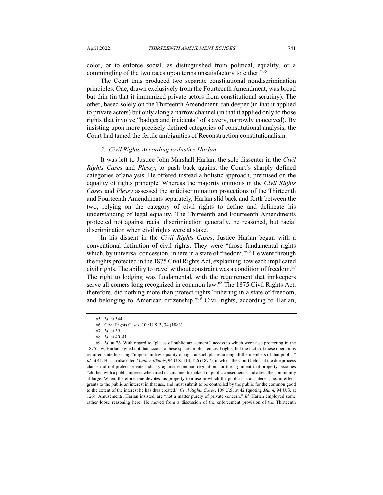color, or to enforce social, as distinguished from political, equality, or a commingling of the two races upon terms unsatisfactory to either.<sup>"65</sup>

The Court thus produced two separate constitutional nondiscrimination principles. One, drawn exclusively from the Fourteenth Amendment, was broad but thin (in that it immunized private actors from constitutional scrutiny). The other, based solely on the Thirteenth Amendment, ran deeper (in that it applied to private actors) but only along a narrow channel (in that it applied only to those rights that involve "badges and incidents" of slavery, narrowly conceived). By insisting upon more precisely defined categories of constitutional analysis, the Court had tamed the fertile ambiguities of Reconstruction constitutionalism.

#### *3. Civil Rights According to Justice Harlan*

It was left to Justice John Marshall Harlan, the sole dissenter in the *Civil Rights Cases* and *Plessy*, to push back against the Court's sharply defined categories of analysis. He offered instead a holistic approach, premised on the equality of rights principle. Whereas the majority opinions in the *Civil Rights Cases* and *Plessy* assessed the antidiscrimination protections of the Thirteenth and Fourteenth Amendments separately, Harlan slid back and forth between the two, relying on the category of civil rights to define and delineate his understanding of legal equality. The Thirteenth and Fourteenth Amendments protected not against racial discrimination generally, he reasoned, but racial discrimination when civil rights were at stake.

In his dissent in the *Civil Rights Cases*, Justice Harlan began with a conventional definition of civil rights. They were "those fundamental rights which, by universal concession, inhere in a state of freedom."<sup>66</sup> He went through the rights protected in the 1875 Civil Rights Act, explaining how each implicated civil rights. The ability to travel without constraint was a condition of freedom.<sup>67</sup> The right to lodging was fundamental, with the requirement that innkeepers serve all comers long recognized in common law.<sup>68</sup> The 1875 Civil Rights Act, therefore, did nothing more than protect rights "inhering in a state of freedom, and belonging to American citizenship." $\overline{69}$  Civil rights, according to Harlan,

<sup>65.</sup> *Id.* at 544.

<sup>66.</sup> Civil Rights Cases, 109 U.S. 3, 34 (1883).

<sup>67.</sup> *Id.* at 39.

<sup>68.</sup> *Id*. at 40–41.

<sup>69.</sup> *Id*. at 26. With regard to "places of public amusement," access to which were also protecting in the 1875 law, Harlan argued not that access to these spaces implicated civil rights, but the fact that these operations required state licensing "imports in law equality of right at such places among all the members of that public." *Id.* at 41. Harlan also cited *Munn v. Illinois*, 94 U.S. 113, 126 (1877), in which the Court held that the due process clause did not protect private industry against economic regulation, for the argument that property becomes "clothed with a public interest when used in a manner to make it of public consequence and affect the community at large. When, therefore, one devotes his property to a use in which the public has an interest, he, in effect, grants to the public an interest in that use, and must submit to be controlled by the public for the common good to the extent of the interest he has thus created." *Civil Rights Cases*, 109 U.S. at 42 (quoting *Munn*, 94 U.S. at 126). Amusements, Harlan insisted, are "not a matter purely of private concern." *Id.* Harlan employed some rather loose reasoning here. He moved from a discussion of the enforcement provision of the Thirteenth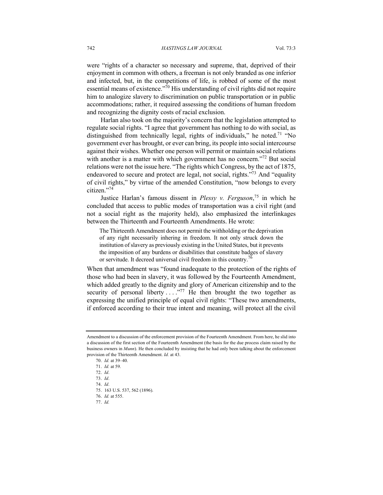were "rights of a character so necessary and supreme, that, deprived of their enjoyment in common with others, a freeman is not only branded as one inferior and infected, but, in the competitions of life, is robbed of some of the most essential means of existence."<sup>70</sup> His understanding of civil rights did not require him to analogize slavery to discrimination on public transportation or in public accommodations; rather, it required assessing the conditions of human freedom and recognizing the dignity costs of racial exclusion.

Harlan also took on the majority's concern that the legislation attempted to regulate social rights. "I agree that government has nothing to do with social, as distinguished from technically legal, rights of individuals," he noted.<sup>71</sup> "No government ever has brought, or ever can bring, its people into social intercourse against their wishes. Whether one person will permit or maintain social relations with another is a matter with which government has no concern."<sup>72</sup> But social relations were not the issue here. "The rights which Congress, by the act of 1875, endeavored to secure and protect are legal, not social, rights."<sup>73</sup> And "equality of civil rights," by virtue of the amended Constitution, "now belongs to every citizen."74

Justice Harlan's famous dissent in *Plessy v. Ferguson*, <sup>75</sup> in which he concluded that access to public modes of transportation was a civil right (and not a social right as the majority held), also emphasized the interlinkages between the Thirteenth and Fourteenth Amendments. He wrote:

The Thirteenth Amendment does not permit the withholding or the deprivation of any right necessarily inhering in freedom. It not only struck down the institution of slavery as previously existing in the United States, but it prevents the imposition of any burdens or disabilities that constitute badges of slavery or servitude. It decreed universal civil freedom in this country.<sup>76</sup>

When that amendment was "found inadequate to the protection of the rights of those who had been in slavery, it was followed by the Fourteenth Amendment, which added greatly to the dignity and glory of American citizenship and to the security of personal liberty  $\dots$ <sup>77</sup> He then brought the two together as expressing the unified principle of equal civil rights: "These two amendments, if enforced according to their true intent and meaning, will protect all the civil

77. *Id.*

Amendment to a discussion of the enforcement provision of the Fourteenth Amendment. From here, he slid into a discussion of the first section of the Fourteenth Amendment (the basis for the due process claim raised by the business owners in *Munn*). He then concluded by insisting that he had only been talking about the enforcement provision of the Thirteenth Amendment. *Id.* at 43.

<sup>70.</sup> *Id.* at 39–40.

<sup>71.</sup> *Id.* at 59.

<sup>72.</sup> *Id*.

<sup>73.</sup> *Id*.

<sup>74.</sup> *Id*.

<sup>75.</sup> 163 U.S. 537, 562 (1896).

<sup>76.</sup> *Id.* at 555.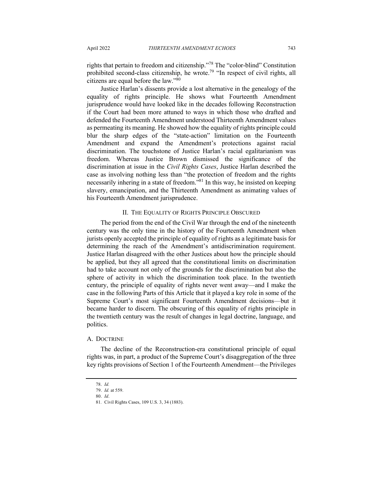rights that pertain to freedom and citizenship."<sup>78</sup> The "color-blind" Constitution prohibited second-class citizenship, he wrote.<sup>79</sup> "In respect of civil rights, all citizens are equal before the law." $80$ 

Justice Harlan's dissents provide a lost alternative in the genealogy of the equality of rights principle. He shows what Fourteenth Amendment jurisprudence would have looked like in the decades following Reconstruction if the Court had been more attuned to ways in which those who drafted and defended the Fourteenth Amendment understood Thirteenth Amendment values as permeating its meaning. He showed how the equality of rights principle could blur the sharp edges of the "state-action" limitation on the Fourteenth Amendment and expand the Amendment's protections against racial discrimination. The touchstone of Justice Harlan's racial egalitarianism was freedom. Whereas Justice Brown dismissed the significance of the discrimination at issue in the *Civil Rights Cases*, Justice Harlan described the case as involving nothing less than "the protection of freedom and the rights necessarily inhering in a state of freedom.<sup>381</sup> In this way, he insisted on keeping slavery, emancipation, and the Thirteenth Amendment as animating values of his Fourteenth Amendment jurisprudence.

#### II. THE EQUALITY OF RIGHTS PRINCIPLE OBSCURED

The period from the end of the Civil War through the end of the nineteenth century was the only time in the history of the Fourteenth Amendment when jurists openly accepted the principle of equality of rights as a legitimate basis for determining the reach of the Amendment's antidiscrimination requirement. Justice Harlan disagreed with the other Justices about how the principle should be applied, but they all agreed that the constitutional limits on discrimination had to take account not only of the grounds for the discrimination but also the sphere of activity in which the discrimination took place. In the twentieth century, the principle of equality of rights never went away—and I make the case in the following Parts of this Article that it played a key role in some of the Supreme Court's most significant Fourteenth Amendment decisions—but it became harder to discern. The obscuring of this equality of rights principle in the twentieth century was the result of changes in legal doctrine, language, and politics.

#### A. DOCTRINE

The decline of the Reconstruction-era constitutional principle of equal rights was, in part, a product of the Supreme Court's disaggregation of the three key rights provisions of Section 1 of the Fourteenth Amendment—the Privileges

<sup>78.</sup> *Id.* 79. *Id.* at 559.

<sup>80.</sup> *Id*.

<sup>81</sup>*.* Civil Rights Cases, 109 U.S. 3, 34 (1883).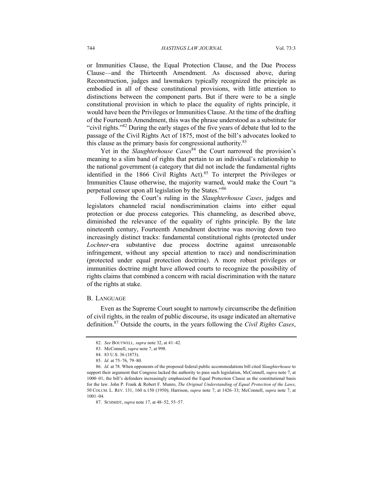or Immunities Clause, the Equal Protection Clause, and the Due Process Clause—and the Thirteenth Amendment. As discussed above, during Reconstruction, judges and lawmakers typically recognized the principle as embodied in all of these constitutional provisions, with little attention to distinctions between the component parts. But if there were to be a single constitutional provision in which to place the equality of rights principle, it would have been the Privileges or Immunities Clause. At the time of the drafting of the Fourteenth Amendment, this was the phrase understood as a substitute for "civil rights."<sup>82</sup> During the early stages of the five years of debate that led to the passage of the Civil Rights Act of 1875, most of the bill's advocates looked to this clause as the primary basis for congressional authority.<sup>83</sup>

Yet in the *Slaughterhouse Cases*<sup>84</sup> the Court narrowed the provision's meaning to a slim band of rights that pertain to an individual's relationship to the national government (a category that did not include the fundamental rights identified in the 1866 Civil Rights Act).<sup>85</sup> To interpret the Privileges or Immunities Clause otherwise, the majority warned, would make the Court "a perpetual censor upon all legislation by the States."86

Following the Court's ruling in the *Slaughterhouse Cases*, judges and legislators channeled racial nondiscrimination claims into either equal protection or due process categories. This channeling, as described above, diminished the relevance of the equality of rights principle. By the late nineteenth century, Fourteenth Amendment doctrine was moving down two increasingly distinct tracks: fundamental constitutional rights (protected under *Lochner*-era substantive due process doctrine against unreasonable infringement, without any special attention to race) and nondiscrimination (protected under equal protection doctrine). A more robust privileges or immunities doctrine might have allowed courts to recognize the possibility of rights claims that combined a concern with racial discrimination with the nature of the rights at stake.

#### B. LANGUAGE

Even as the Supreme Court sought to narrowly circumscribe the definition of civil rights, in the realm of public discourse, its usage indicated an alternative definition.87 Outside the courts, in the years following the *Civil Rights Cases*,

<sup>82.</sup> *See* BOUTWELL*, supra* note 32, at 41–42.

<sup>83.</sup> McConnell, *supra* note 7, at 998.

<sup>84.</sup> 83 U.S. 36 (1873).

<sup>85.</sup> *Id.* at 75–76, 79–80.

<sup>86.</sup> *Id.* at 78. When opponents of the proposed federal public accommodations bill cited *Slaughterhouse* to support their argument that Congress lacked the authority to pass such legislation, McConnell, *supra* note 7, at 1000–01, the bill's defenders increasingly emphasized the Equal Protection Clause as the constitutional basis for the law. John P. Frank & Robert F. Munro, *The Original Understanding of Equal Protection of the Laws*, 50 COLUM. L. REV. 131, 160 n.150 (1950); Harrison, *supra* note 7, at 1426–33; McConnell, *supra* note 7, at 1001–04.

<sup>87.</sup> SCHMIDT, *supra* note 17, at 48–52, 55–57.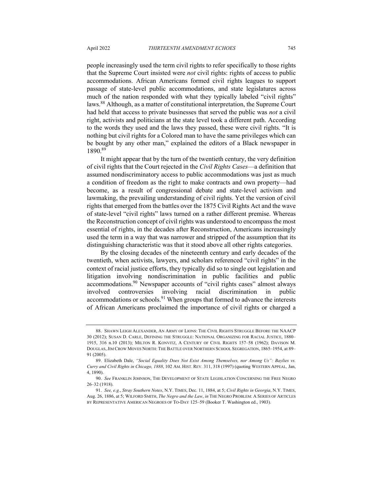1890.89

people increasingly used the term civil rights to refer specifically to those rights that the Supreme Court insisted were *not* civil rights: rights of access to public accommodations. African Americans formed civil rights leagues to support passage of state-level public accommodations, and state legislatures across much of the nation responded with what they typically labeled "civil rights" laws.88 Although, as a matter of constitutional interpretation, the Supreme Court had held that access to private businesses that served the public was *not* a civil right, activists and politicians at the state level took a different path. According to the words they used and the laws they passed, these were civil rights. "It is nothing but civil rights for a Colored man to have the same privileges which can be bought by any other man," explained the editors of a Black newspaper in

It might appear that by the turn of the twentieth century, the very definition of civil rights that the Court rejected in the *Civil Rights Cases*—a definition that assumed nondiscriminatory access to public accommodations was just as much a condition of freedom as the right to make contracts and own property—had become, as a result of congressional debate and state-level activism and lawmaking, the prevailing understanding of civil rights. Yet the version of civil rights that emerged from the battles over the 1875 Civil Rights Act and the wave of state-level "civil rights" laws turned on a rather different premise. Whereas the Reconstruction concept of civil rights was understood to encompass the most essential of rights, in the decades after Reconstruction, Americans increasingly used the term in a way that was narrower and stripped of the assumption that its distinguishing characteristic was that it stood above all other rights categories.

By the closing decades of the nineteenth century and early decades of the twentieth, when activists, lawyers, and scholars referenced "civil rights" in the context of racial justice efforts, they typically did so to single out legislation and litigation involving nondiscrimination in public facilities and public accommodations.<sup>90</sup> Newspaper accounts of "civil rights cases" almost always involved controversies involving racial discrimination in public accommodations or schools.<sup>91</sup> When groups that formed to advance the interests of African Americans proclaimed the importance of civil rights or charged a

<sup>88.</sup> SHAWN LEIGH ALEXANDER, AN ARMY OF LIONS: THE CIVIL RIGHTS STRUGGLE BEFORE THE NAACP 30 (2012); SUSAN D. CARLE, DEFINING THE STRUGGLE: NATIONAL ORGANIZING FOR RACIAL JUSTICE, 1880– 1915, 316 n.10 (2013); MILTON R. KONVITZ, A CENTURY OF CIVIL RIGHTS 157–58 (1962); DAVISON M. DOUGLAS,JIM CROW MOVES NORTH: THE BATTLE OVER NORTHERN SCHOOL SEGREGATION, 1865–1954, at 89– 91 (2005).

<sup>89.</sup> Elizabeth Dale, *"Social Equality Does Not Exist Among Themselves, nor Among Us": Baylies vs. Curry and Civil Rights in Chicago, 1888*, 102 AM. HIST. REV. 311, 318 (1997) (quoting WESTERN APPEAL*,* Jan, 4, 1890).

<sup>90.</sup> *See* FRANKLIN JOHNSON, THE DEVELOPMENT OF STATE LEGISLATION CONCERNING THE FREE NEGRO 26–32 (1918).

<sup>91.</sup> *See, e.g.*, *Stray Southern Notes*, N.Y. TIMES, Dec. 11, 1884, at 5; *Civil Rights in Georgia*, N.Y. TIMES, Aug. 26, 1886, at 5; WILFORD SMITH, *The Negro and the Law*, *in* THE NEGRO PROBLEM: A SERIES OF ARTICLES BY REPRESENTATIVE AMERICAN NEGROES OF TO-DAY 125–59 (Booker T. Washington ed., 1903).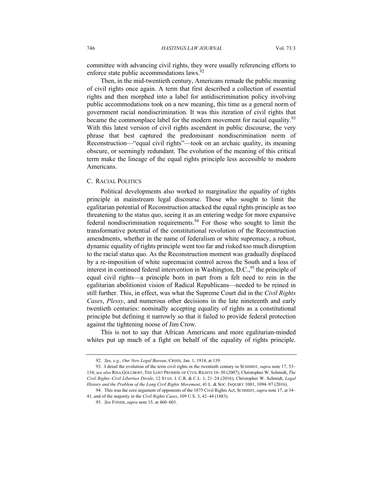committee with advancing civil rights, they were usually referencing efforts to enforce state public accommodations laws.<sup>92</sup>

Then, in the mid-twentieth century, Americans remade the public meaning of civil rights once again. A term that first described a collection of essential rights and then morphed into a label for antidiscrimination policy involving public accommodations took on a new meaning, this time as a general norm of government racial nondiscrimination. It was this iteration of civil rights that became the commonplace label for the modern movement for racial equality.<sup>93</sup> With this latest version of civil rights ascendent in public discourse, the very phrase that best captured the predominant nondiscrimination norm of Reconstruction—"equal civil rights"—took on an archaic quality, its meaning obscure, or seemingly redundant. The evolution of the meaning of this critical term make the lineage of the equal rights principle less accessible to modern Americans.

#### C. RACIAL POLITICS

Political developments also worked to marginalize the equality of rights principle in mainstream legal discourse. Those who sought to limit the egalitarian potential of Reconstruction attacked the equal rights principle as too threatening to the status quo, seeing it as an entering wedge for more expansive federal nondiscrimination requirements.<sup>94</sup> For those who sought to limit the transformative potential of the constitutional revolution of the Reconstruction amendments, whether in the name of federalism or white supremacy, a robust, dynamic equality of rights principle went too far and risked too much disruption to the racial status quo. As the Reconstruction moment was gradually displaced by a re-imposition of white supremacist control across the South and a loss of interest in continued federal intervention in Washington, D.C.,  $95$  the principle of equal civil rights—a principle born in part from a felt need to rein in the egalitarian abolitionist vision of Radical Republicans—needed to be reined in still further. This, in effect, was what the Supreme Court did in the *Civil Rights Cases*, *Plessy*, and numerous other decisions in the late nineteenth and early twentieth centuries: nominally accepting equality of rights as a constitutional principle but defining it narrowly so that it failed to provide federal protection against the tightening noose of Jim Crow.

This is not to say that African Americans and more egalitarian-minded whites put up much of a fight on behalf of the equality of rights principle.

<sup>92.</sup> *See, e.g., Our New Legal Bureau*, CRISIS, Jan. 1, 1914, at 139.

<sup>93.</sup> I detail the evolution of the term civil rights in the twentieth century in SCHMIDT, *supra* note 17, 53– 134; *see also* RISA GOLUBOFF, THE LOST PROMISE OF CIVIL RIGHTS 16–50 (2007); Christopher W. Schmidt, *The Civil Rights–Civil Liberties Divide*, 12 STAN. J. C.R. & C.L. 1, 21–24 (2016); Christopher W. Schmidt, *Legal History and the Problem of the Long Civil Rights Movement*, 41 L. & SOC. INQUIRY 1081, 1094–97 (2016).

<sup>94.</sup> This was the core argument of opponents of the 1875 Civil Rights Act, SCHMIDT, *supra* note 17, at 34– 41, and of the majority in the *Civil Rights Cases*, 109 U.S. 3, 42–44 (1883).

<sup>95.</sup> *See* FONER, *supra* note 15, at 460–601.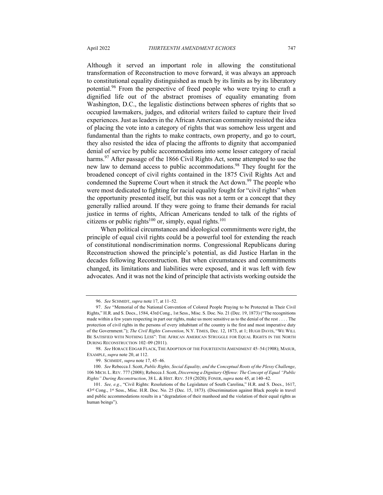Although it served an important role in allowing the constitutional transformation of Reconstruction to move forward, it was always an approach to constitutional equality distinguished as much by its limits as by its liberatory potential.<sup>96</sup> From the perspective of freed people who were trying to craft a dignified life out of the abstract promises of equality emanating from Washington, D.C., the legalistic distinctions between spheres of rights that so occupied lawmakers, judges, and editorial writers failed to capture their lived experiences. Just as leaders in the African American community resisted the idea of placing the vote into a category of rights that was somehow less urgent and

fundamental than the rights to make contracts, own property, and go to court, they also resisted the idea of placing the affronts to dignity that accompanied denial of service by public accommodations into some lesser category of racial harms.<sup>97</sup> After passage of the 1866 Civil Rights Act, some attempted to use the new law to demand access to public accommodations.<sup>98</sup> They fought for the broadened concept of civil rights contained in the 1875 Civil Rights Act and condemned the Supreme Court when it struck the Act down.<sup>99</sup> The people who were most dedicated to fighting for racial equality fought for "civil rights" when the opportunity presented itself, but this was not a term or a concept that they generally rallied around. If they were going to frame their demands for racial justice in terms of rights, African Americans tended to talk of the rights of citizens or public rights<sup>100</sup> or, simply, equal rights.<sup>101</sup>

When political circumstances and ideological commitments were right, the principle of equal civil rights could be a powerful tool for extending the reach of constitutional nondiscrimination norms. Congressional Republicans during Reconstruction showed the principle's potential, as did Justice Harlan in the decades following Reconstruction. But when circumstances and commitments changed, its limitations and liabilities were exposed, and it was left with few advocates. And it was not the kind of principle that activists working outside the

<sup>96.</sup> *See* SCHMIDT, *supra* note 17, at 11–52.

<sup>97.</sup> *See* "Memorial of the National Convention of Colored People Praying to be Protected in Their Civil Rights," H.R. and S. Docs., 1584, 43rd Cong., 1st Sess., Misc. S. Doc. No. 21 (Dec. 19, 1873) ("The recognitions made within a few years respecting in part our rights, make us more sensitive as to the denial of the rest . . . . The protection of civil rights in the persons of every inhabitant of the country is the first and most imperative duty of the Government."); *The Civil Rights Convention*, N.Y. TIMES, Dec. 12, 1873, at 1; HUGH DAVIS, "WE WILL BE SATISFIED WITH NOTHING LESS": THE AFRICAN AMERICAN STRUGGLE FOR EQUAL RIGHTS IN THE NORTH DURING RECONSTRUCTION 102–09 (2011).

<sup>98.</sup> *See* HORACE EDGAR FLACK, THE ADOPTION OF THE FOURTEENTH AMENDMENT 45–54 (1908); MASUR, EXAMPLE, *supra* note 20, at 112.

<sup>99.</sup> SCHMIDT, *supra* note 17, 45–46.

<sup>100.</sup> *See* Rebecca J. Scott, *Public Rights, Social Equality, and the Conceptual Roots of the Plessy Challenge*, 106 MICH. L. REV. 777 (2008); Rebecca J. Scott, *Discerning a Dignitary Offense: The Concept of Equal "Public Rights" During Reconstruction*, 38 L. & HIST. REV. 519 (2020); FONER, *supra* note 45, at 140–42.

<sup>101.</sup> *See, e.g.*, "Civil Rights: Resolutions of the Legislature of South Carolina," H.R. and S. Docs., 1617, 43rd Cong., 1st Sess., Misc. H.R. Doc. No. 25 (Dec. 15, 1873). (Discrimination against Black people in travel and public accommodations results in a "degradation of their manhood and the violation of their equal rights as human beings").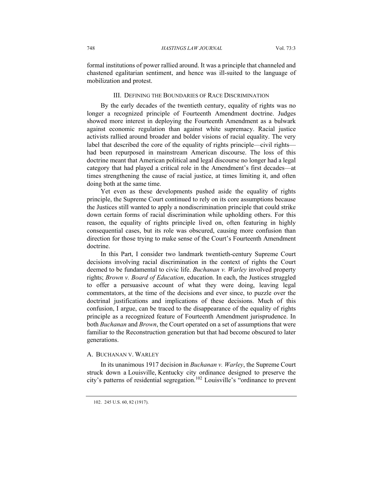formal institutions of power rallied around. It was a principle that channeled and chastened egalitarian sentiment, and hence was ill-suited to the language of mobilization and protest.

#### III. DEFINING THE BOUNDARIES OF RACE DISCRIMINATION

By the early decades of the twentieth century, equality of rights was no longer a recognized principle of Fourteenth Amendment doctrine. Judges showed more interest in deploying the Fourteenth Amendment as a bulwark against economic regulation than against white supremacy. Racial justice activists rallied around broader and bolder visions of racial equality. The very label that described the core of the equality of rights principle—civil rights had been repurposed in mainstream American discourse. The loss of this doctrine meant that American political and legal discourse no longer had a legal category that had played a critical role in the Amendment's first decades—at times strengthening the cause of racial justice, at times limiting it, and often doing both at the same time.

Yet even as these developments pushed aside the equality of rights principle, the Supreme Court continued to rely on its core assumptions because the Justices still wanted to apply a nondiscrimination principle that could strike down certain forms of racial discrimination while upholding others. For this reason, the equality of rights principle lived on, often featuring in highly consequential cases, but its role was obscured, causing more confusion than direction for those trying to make sense of the Court's Fourteenth Amendment doctrine.

In this Part, I consider two landmark twentieth-century Supreme Court decisions involving racial discrimination in the context of rights the Court deemed to be fundamental to civic life. *Buchanan v. Warley* involved property rights; *Brown v. Board of Education*, education. In each, the Justices struggled to offer a persuasive account of what they were doing, leaving legal commentators, at the time of the decisions and ever since, to puzzle over the doctrinal justifications and implications of these decisions. Much of this confusion, I argue, can be traced to the disappearance of the equality of rights principle as a recognized feature of Fourteenth Amendment jurisprudence. In both *Buchanan* and *Brown*, the Court operated on a set of assumptions that were familiar to the Reconstruction generation but that had become obscured to later generations.

## A. BUCHANAN V. WARLEY

In its unanimous 1917 decision in *Buchanan v. Warley*, the Supreme Court struck down a Louisville, Kentucky city ordinance designed to preserve the city's patterns of residential segregation.<sup>102</sup> Louisville's "ordinance to prevent

<sup>102.</sup> 245 U.S. 60, 82 (1917).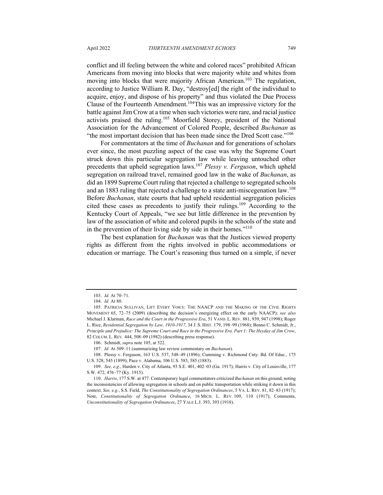conflict and ill feeling between the white and colored races" prohibited African Americans from moving into blocks that were majority white and whites from moving into blocks that were majority African American.<sup>103</sup> The regulation, according to Justice William R. Day, "destroy[ed] the right of the individual to acquire, enjoy, and dispose of his property" and thus violated the Due Process Clause of the Fourteenth Amendment.104This was an impressive victory for the battle against Jim Crow at a time when such victories were rare, and racial justice

activists praised the ruling.<sup>105</sup> Moorfield Storey, president of the National Association for the Advancement of Colored People, described *Buchanan* as "the most important decision that has been made since the Dred Scott case."<sup>106</sup>

For commentators at the time of *Buchanan* and for generations of scholars ever since, the most puzzling aspect of the case was why the Supreme Court struck down this particular segregation law while leaving untouched other precedents that upheld segregation laws.<sup>107</sup> *Plessy v. Ferguson*, which upheld segregation on railroad travel, remained good law in the wake of *Buchanan*, as did an 1899 Supreme Court ruling that rejected a challenge to segregated schools and an 1883 ruling that rejected a challenge to a state anti-miscegenation law.<sup>108</sup> Before *Buchanan*, state courts that had upheld residential segregation policies cited these cases as precedents to justify their rulings.<sup>109</sup> According to the Kentucky Court of Appeals, "we see but little difference in the prevention by law of the association of white and colored pupils in the schools of the state and in the prevention of their living side by side in their homes."<sup>110</sup>

The best explanation for *Buchanan* was that the Justices viewed property rights as different from the rights involved in public accommodations or education or marriage. The Court's reasoning thus turned on a simple, if never

<sup>103.</sup> *Id.* At 70–71.

<sup>104.</sup> *Id.* At 80.

<sup>105.</sup> PATRICIA SULLIVAN, LIFT EVERY VOICE: THE NAACP AND THE MAKING OF THE CIVIL RIGHTS MOVEMENT 65, 72–75 (2009) (describing the decision's energizing effect on the early NAACP); *see also*  Michael J. Klarman, *Race and the Court in the Progressive Era*, 51 VAND. L. REV. 881, 939, 947 (1998); Roger L. Rice, *Residential Segregation by Law, 1910-1917*, 34 J. S. HIST. 179, 198–99 (1968); Benno C. Schmidt, Jr., *Principle and Prejudice: The Supreme Court and Race in the Progressive Era. Part 1: The Heyday of Jim Crow*, 82 COLUM. L. REV. 444, 508–09 (1982) (describing press response).

<sup>106.</sup> Schmidt, *supra* note 105, at 522.

<sup>107.</sup> *Id.* At 509–11 (summarizing law review commentary on *Buchanan*).

<sup>108.</sup> Plessy v. Ferguson, 163 U.S. 537, 548–49 (1896); Cumming v. Richmond Cnty. Bd. Of Educ., 175 U.S. 528, 545 (1899); Pace v. Alabama, 106 U.S. 583, 585 (1883).

<sup>109.</sup> *See, e.g.*, Harden v. City of Atlanta, 93 S.E. 401, 402–03 (Ga. 1917); Harris v. City of Louisville, 177 S.W. 472, 476–77 (Ky. 1915).

<sup>110.</sup> *Harris*, 177 S.W. at 477. Contemporary legal commentators criticized *Buchanan* on this ground, noting the inconsistencies of allowing segregation in schools and on public transportation while striking it down in this context. *See, e.g.*, S.S. Field, *The Constitutionality of Segregation Ordinances*, 5 VA. L. REV. 81, 82–83 (1917); Note, *Constitutionality of Segregation Ordinance*, 16 MICH. L. REV. 109, 110 (1917); Comments, *Unconstitutionality of Segregation Ordinances*, 27 YALE L.J. 393, 393 (1918).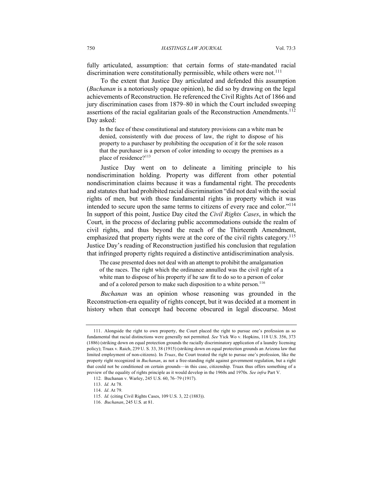fully articulated, assumption: that certain forms of state-mandated racial discrimination were constitutionally permissible, while others were not.<sup>111</sup>

To the extent that Justice Day articulated and defended this assumption (*Buchanan* is a notoriously opaque opinion), he did so by drawing on the legal achievements of Reconstruction. He referenced the Civil Rights Act of 1866 and jury discrimination cases from 1879–80 in which the Court included sweeping assertions of the racial egalitarian goals of the Reconstruction Amendments.<sup>112</sup> Day asked:

In the face of these constitutional and statutory provisions can a white man be denied, consistently with due process of law, the right to dispose of his property to a purchaser by prohibiting the occupation of it for the sole reason that the purchaser is a person of color intending to occupy the premises as a place of residence?<sup>113</sup>

Justice Day went on to delineate a limiting principle to his nondiscrimination holding. Property was different from other potential nondiscrimination claims because it was a fundamental right. The precedents and statutes that had prohibited racial discrimination "did not deal with the social rights of men, but with those fundamental rights in property which it was intended to secure upon the same terms to citizens of every race and color."<sup>114</sup> In support of this point, Justice Day cited the *Civil Rights Cases*, in which the Court, in the process of declaring public accommodations outside the realm of civil rights, and thus beyond the reach of the Thirteenth Amendment, emphasized that property rights were at the core of the civil rights category.<sup>115</sup> Justice Day's reading of Reconstruction justified his conclusion that regulation that infringed property rights required a distinctive antidiscrimination analysis.

The case presented does not deal with an attempt to prohibit the amalgamation of the races. The right which the ordinance annulled was the civil right of a white man to dispose of his property if he saw fit to do so to a person of color and of a colored person to make such disposition to a white person.<sup>116</sup>

*Buchanan* was an opinion whose reasoning was grounded in the Reconstruction-era equality of rights concept, but it was decided at a moment in history when that concept had become obscured in legal discourse. Most

<sup>111.</sup> Alongside the right to own property, the Court placed the right to pursue one's profession as so fundamental that racial distinctions were generally not permitted. *See* Yick Wo v. Hopkins, 118 U.S. 356, 373 (1886) (striking down on equal protection grounds the racially discriminatory application of a laundry licensing policy); Truax v. Raich, 239 U. S. 33, 38 (1915) (striking down on equal protection grounds an Arizona law that limited employment of non-citizens). In *Truax*, the Court treated the right to pursue one's profession, like the property right recognized in *Buchanan*, as not a free-standing right against government regulation, but a right that could not be conditioned on certain grounds—in this case, citizenship. Truax thus offers something of a preview of the equality of rights principle as it would develop in the 1960s and 1970s. *See infra* Part V.

<sup>112</sup>*.* Buchanan v. Warley, 245 U.S. 60, 76–79 (1917).

<sup>113.</sup> *Id.* At 78.

<sup>114.</sup> *Id*. At 79.

<sup>115.</sup> *Id.* (citing Civil Rights Cases, 109 U.S. 3, 22 (1883)).

<sup>116.</sup> *Buchanan*, 245 U.S. at 81.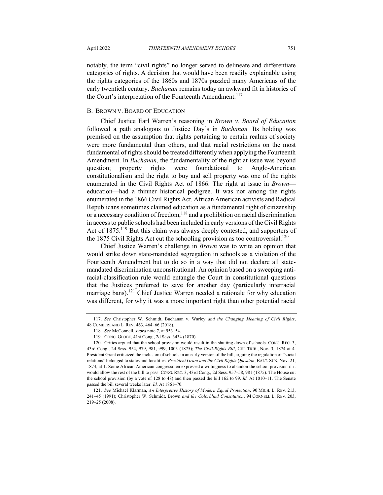notably, the term "civil rights" no longer served to delineate and differentiate categories of rights. A decision that would have been readily explainable using the rights categories of the 1860s and 1870s puzzled many Americans of the early twentieth century. *Buchanan* remains today an awkward fit in histories of the Court's interpretation of the Fourteenth Amendment.<sup>117</sup>

#### B. BROWN V. BOARD OF EDUCATION

Chief Justice Earl Warren's reasoning in *Brown v. Board of Education* followed a path analogous to Justice Day's in *Buchanan.* Its holding was premised on the assumption that rights pertaining to certain realms of society were more fundamental than others, and that racial restrictions on the most fundamental of rights should be treated differently when applying the Fourteenth Amendment. In *Buchanan*, the fundamentality of the right at issue was beyond question; property rights were foundational to Anglo-American constitutionalism and the right to buy and sell property was one of the rights enumerated in the Civil Rights Act of 1866. The right at issue in *Brown* education—had a thinner historical pedigree. It was not among the rights enumerated in the 1866 Civil Rights Act. African American activists and Radical Republicans sometimes claimed education as a fundamental right of citizenship or a necessary condition of freedom,<sup>118</sup> and a prohibition on racial discrimination in access to public schools had been included in early versions of the Civil Rights Act of 1875.<sup>119</sup> But this claim was always deeply contested, and supporters of the 1875 Civil Rights Act cut the schooling provision as too controversial.<sup>120</sup>

Chief Justice Warren's challenge in *Brown* was to write an opinion that would strike down state-mandated segregation in schools as a violation of the Fourteenth Amendment but to do so in a way that did not declare all statemandated discrimination unconstitutional. An opinion based on a sweeping antiracial-classification rule would entangle the Court in constitutional questions that the Justices preferred to save for another day (particularly interracial marriage bans).<sup>121</sup> Chief Justice Warren needed a rationale for why education was different, for why it was a more important right than other potential racial

<sup>117.</sup> *See* Christopher W. Schmidt, Buchanan v. Warley *and the Changing Meaning of Civil Rights*, 48 CUMBERLAND L. REV. 463, 464–66 (2018).

<sup>118.</sup> *See* McConnell, *supra* note 7, at 953–54.

<sup>119.</sup> CONG. GLOBE*,* 41st Cong., 2d Sess. 3434 (1870).

<sup>120.</sup> Critics argued that the school provision would result in the shutting down of schools. CONG. REC. 3, 43rd Cong., 2d Sess. 954, 979, 981, 999, 1003 (1875); *The Civil-Rights Bill*, CHI. TRIB., Nov. 3, 1874 at 4. President Grant criticized the inclusion of schools in an early version of the bill, arguing the regulation of "social relations" belonged to states and localities. *President Grant and the Civil Rights Question*, BALT. SUN, Nov. 21, 1874, at 1. Some African American congressmen expressed a willingness to abandon the school provision if it would allow the rest of the bill to pass. CONG. REC. 3, 43rd Cong., 2d Sess. 957–58, 981 (1875). The House cut the school provision (by a vote of 128 to 48) and then passed the bill 162 to 99. *Id.* At 1010–11. The Senate passed the bill several weeks later. *Id.* At 1861–70.

<sup>121.</sup> *See* Michael Klarman, *An Interpretive History of Modern Equal Protection*, 90 MICH. L. REV. 213, 241–45 (1991); Christopher W. Schmidt, Brown *and the Colorblind Constitution*, 94 CORNELL L. REV. 203, 219–25 (2008).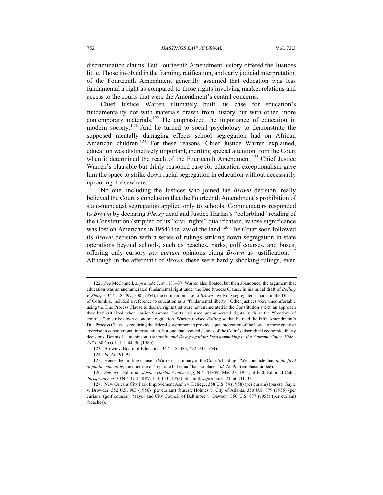discrimination claims. But Fourteenth Amendment history offered the Justices little. Those involved in the framing, ratification, and early judicial interpretation of the Fourteenth Amendment generally assumed that education was less fundamental a right as compared to those rights involving market relations and access to the courts that were the Amendment's central concerns.

Chief Justice Warren ultimately built his case for education's fundamentality not with materials drawn from history but with other, more contemporary materials.<sup>122</sup> He emphasized the importance of education in modern society.<sup>123</sup> And he turned to social psychology to demonstrate the supposed mentally damaging effects school segregation had on African American children.<sup>124</sup> For these reasons, Chief Justice Warren explained, education was distinctively important, meriting special attention from the Court when it determined the reach of the Fourteenth Amendment.<sup>125</sup> Chief Justice Warren's plausible but thinly reasoned case for education exceptionalism gave him the space to strike down racial segregation in education without necessarily uprooting it elsewhere.

No one, including the Justices who joined the *Brown* decision, really believed the Court's conclusion that the Fourteenth Amendment's prohibition of state-mandated segregation applied only to schools. Commentators responded to *Brown* by declaring *Plessy* dead and Justice Harlan's "colorblind" reading of the Constitution (stripped of its "civil rights" qualification, whose significance was lost on Americans in 1954) the law of the land.<sup>126</sup> The Court soon followed its *Brown* decision with a series of rulings striking down segregation in state operations beyond schools, such as beaches, parks, golf courses, and buses, offering only cursory *per curiam* opinions citing *Brown* as justification.<sup>127</sup> Although in the aftermath of *Brown* these were hardly shocking rulings, even

<sup>122.</sup> *See* McConnell, *supra* note 7, at 1131–37. Warren also floated, but then abandoned, the argument that education was an unenumerated fundamental right under the Due Process Clause. In his initial draft of *Bolling v. Sharpe*, 347 U.S. 497, 500 (1954), the companion case to *Brown* involving segregated schools in the District of Columbia, included a reference to education as a "fundamental liberty." Other justices were uncomfortable using the Due Process Clause to declare rights that were not enumerated in the Constitution's text, an approach they had criticized when earlier Supreme Courts had used unenumerated rights, such as the "freedom of contract," to strike down economic regulation. Warren revised *Bolling* so that he read the Fifth Amendment's Due Process Clause as requiring the federal government to provide equal protection of the laws—a more creative exercise in constitutional interpretation, but one that avoided echoes of the Court's discredited economic liberty decisions. Dennis J. Hutchinson, *Unanimity and Desegregation: Decisionmaking in the Supreme Court, 1948– 1958*, 68 GEO. L.J. 1, 44–50 (1980).

<sup>123.</sup> Brown v. Board of Education, 347 U.S. 483, 492–93 (1954).

<sup>124.</sup> *Id.* At 494–95.

<sup>125.</sup> Hence the limiting clause in Warren's summary of the Court's holding: "We conclude that, *in the field of public education*, the doctrine of 'separate but equal' has no place." *Id.* At 495 (emphasis added).

<sup>126.</sup> *See, e.g.*, Editorial, *Justice Harlan Concurring*, N.Y. TIMES, May 23, 1954, at E10; Edmond Cahn, *Jurisprudence*, 30 N.Y.U. L. REV. 150, 153 (1955); Schmidt, *supra* note 121, at 231–33.

<sup>127.</sup> New Orleans City Park Improvement Ass'n v. Detiege, 358 U.S. 54 (1958) (per curiam) (parks); Gayle v. Browder, 352 U.S. 903 (1956) (per curiam) (buses); Holmes v. City of Atlanta, 350 U.S. 879 (1955) (per curiam) (golf courses); Mayor and City Council of Baltimore v. Dawson, 350 U.S. 877 (1955) (per curiam) (beaches).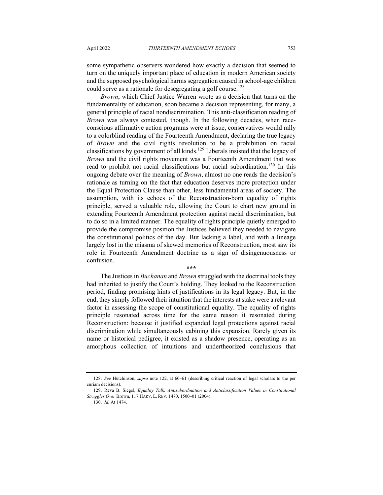some sympathetic observers wondered how exactly a decision that seemed to turn on the uniquely important place of education in modern American society and the supposed psychological harms segregation caused in school-age children could serve as a rationale for desegregating a golf course.<sup>128</sup>

*Brown*, which Chief Justice Warren wrote as a decision that turns on the fundamentality of education, soon became a decision representing, for many, a general principle of racial nondiscrimination. This anti-classification reading of *Brown* was always contested, though. In the following decades, when raceconscious affirmative action programs were at issue, conservatives would rally to a colorblind reading of the Fourteenth Amendment, declaring the true legacy of *Brown* and the civil rights revolution to be a prohibition on racial classifications by government of all kinds.<sup>129</sup> Liberals insisted that the legacy of *Brown* and the civil rights movement was a Fourteenth Amendment that was read to prohibit not racial classifications but racial subordination.<sup>130</sup> In this ongoing debate over the meaning of *Brown*, almost no one reads the decision's rationale as turning on the fact that education deserves more protection under the Equal Protection Clause than other, less fundamental areas of society. The assumption, with its echoes of the Reconstruction-born equality of rights principle, served a valuable role, allowing the Court to chart new ground in extending Fourteenth Amendment protection against racial discrimination, but to do so in a limited manner. The equality of rights principle quietly emerged to provide the compromise position the Justices believed they needed to navigate the constitutional politics of the day. But lacking a label, and with a lineage largely lost in the miasma of skewed memories of Reconstruction, most saw its role in Fourteenth Amendment doctrine as a sign of disingenuousness or confusion.

**\*\*\***

The Justices in *Buchanan* and *Brown* struggled with the doctrinal tools they had inherited to justify the Court's holding. They looked to the Reconstruction period, finding promising hints of justifications in its legal legacy. But, in the end, they simply followed their intuition that the interests at stake were a relevant factor in assessing the scope of constitutional equality. The equality of rights principle resonated across time for the same reason it resonated during Reconstruction: because it justified expanded legal protections against racial discrimination while simultaneously cabining this expansion. Rarely given its name or historical pedigree, it existed as a shadow presence, operating as an amorphous collection of intuitions and undertheorized conclusions that

<sup>128.</sup> *See* Hutchinson, *supra* note 122, at 60–61 (describing critical reaction of legal scholars to the per curiam decisions).

<sup>129.</sup> Reva B. Siegel, *Equality Talk: Antisubordination and Anticlassification Values in Constitutional Struggles Over* Brown, 117 HARV. L. REV. 1470, 1500–01 (2004).

<sup>130.</sup> *Id.* At 1474.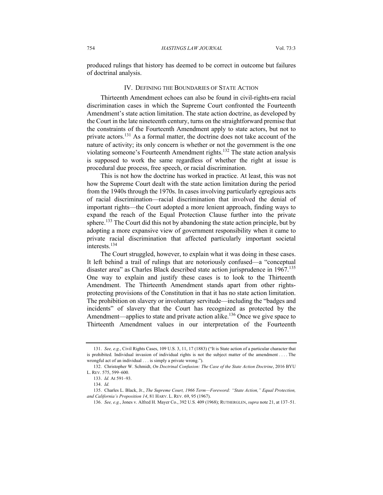produced rulings that history has deemed to be correct in outcome but failures of doctrinal analysis.

#### IV. DEFINING THE BOUNDARIES OF STATE ACTION

Thirteenth Amendment echoes can also be found in civil-rights-era racial discrimination cases in which the Supreme Court confronted the Fourteenth Amendment's state action limitation. The state action doctrine, as developed by the Court in the late nineteenth century, turns on the straightforward premise that the constraints of the Fourteenth Amendment apply to state actors, but not to private actors.<sup>131</sup> As a formal matter, the doctrine does not take account of the nature of activity; its only concern is whether or not the government is the one violating someone's Fourteenth Amendment rights.<sup>132</sup> The state action analysis is supposed to work the same regardless of whether the right at issue is procedural due process, free speech, or racial discrimination.

This is not how the doctrine has worked in practice. At least, this was not how the Supreme Court dealt with the state action limitation during the period from the 1940s through the 1970s. In cases involving particularly egregious acts of racial discrimination—racial discrimination that involved the denial of important rights—the Court adopted a more lenient approach, finding ways to expand the reach of the Equal Protection Clause further into the private sphere.<sup>133</sup> The Court did this not by abandoning the state action principle, but by adopting a more expansive view of government responsibility when it came to private racial discrimination that affected particularly important societal interests.<sup>134</sup>

The Court struggled, however, to explain what it was doing in these cases. It left behind a trail of rulings that are notoriously confused—a "conceptual disaster area" as Charles Black described state action jurisprudence in 1967.<sup>135</sup> One way to explain and justify these cases is to look to the Thirteenth Amendment. The Thirteenth Amendment stands apart from other rightsprotecting provisions of the Constitution in that it has no state action limitation. The prohibition on slavery or involuntary servitude—including the "badges and incidents" of slavery that the Court has recognized as protected by the Amendment—applies to state and private action alike.<sup>136</sup> Once we give space to Thirteenth Amendment values in our interpretation of the Fourteenth

<sup>131.</sup> *See, e.g.*, Civil Rights Cases, 109 U.S. 3, 11, 17 (1883) ("It is State action of a particular character that is prohibited. Individual invasion of individual rights is not the subject matter of the amendment . . . . The wrongful act of an individual . . . is simply a private wrong.").

<sup>132.</sup> Christopher W. Schmidt, *On Doctrinal Confusion: The Case of the State Action Doctrine*, 2016 BYU L. REV. 575, 599–600.

<sup>133.</sup> *Id.* At 591–93.

<sup>134.</sup> *Id.*

<sup>135.</sup> Charles L. Black, Jr., *The Supreme Court, 1966 Term—Foreword: "State Action," Equal Protection, and California's Proposition 14*, 81 HARV. L. REV. 69, 95 (1967).

<sup>136.</sup> *See, e.g.*, Jones v. Alfred H. Mayer Co., 392 U.S. 409 (1968); RUTHERGLEN, *supra* note 21, at 137–51.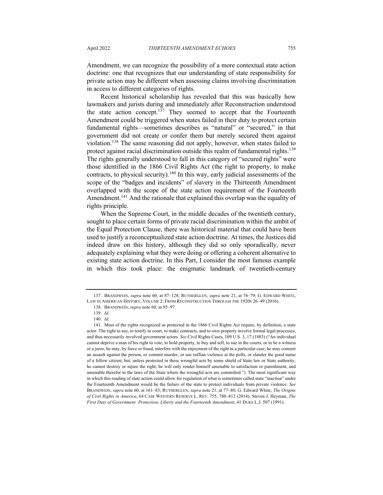Amendment, we can recognize the possibility of a more contextual state action doctrine: one that recognizes that our understanding of state responsibility for private action may be different when assessing claims involving discrimination in access to different categories of rights.

Recent historical scholarship has revealed that this was basically how lawmakers and jurists during and immediately after Reconstruction understood the state action concept.<sup>137</sup> They seemed to accept that the Fourteenth Amendment could be triggered when states failed in their duty to protect certain fundamental rights—sometimes describes as "natural" or "secured," in that government did not create or confer them but merely secured them against violation.138 The same reasoning did not apply, however, when states failed to protect against racial discrimination outside this realm of fundamental rights.<sup>139</sup> The rights generally understood to fall in this category of "secured rights" were those identified in the 1866 Civil Rights Act (the right to property, to make contracts, to physical security).<sup>140</sup> In this way, early judicial assessments of the scope of the "badges and incidents" of slavery in the Thirteenth Amendment overlapped with the scope of the state action requirement of the Fourteenth Amendment.<sup>141</sup> And the rationale that explained this overlap was the equality of rights principle.

When the Supreme Court, in the middle decades of the twentieth century, sought to place certain forms of private racial discrimination within the ambit of the Equal Protection Clause, there was historical material that could have been used to justify a reconceptualized state action doctrine. At times, the Justices did indeed draw on this history, although they did so only sporadically, never adequately explaining what they were doing or offering a coherent alternative to existing state action doctrine. In this Part, I consider the most famous example in which this took place: the enigmatic landmark of twentieth-century

<sup>137.</sup> BRANDWEIN, *supra* note 60, at 87–128; RUTHERGLEN, *supra* note 21, at 76–79; G. EDWARD WHITE, LAW IN AMERICAN HISTORY, VOLUME 2: FROM RECONSTRUCTION THROUGH THE 1920S 26–49 (2016).

<sup>138.</sup> BRANDWEIN, *supra* note 60, at 95–97.

<sup>139.</sup> *Id.*

<sup>140.</sup> *Id.*

<sup>141.</sup> Most of the rights recognized as protected in the 1866 Civil Rights Act require, by definition, a state actor. The right to sue, to testify in court, to make contracts, and to own property involve formal legal processes, and thus necessarily involved government actors. *See* Civil Rights Cases, 109 U.S. 3, 17 (1883) ("An individual cannot deprive a man of his right to vote, to hold property, to buy and sell, to sue in the courts, or to be a witness or a juror; he may, by force or fraud, interfere with the enjoyment of the right in a particular case; he may commit an assault against the person, or commit murder, or use ruffian violence at the polls, or slander the good name of a fellow citizen; but, unless protected in these wrongful acts by some shield of State law or State authority, he cannot destroy or injure the right; he will only render himself amenable to satisfaction or punishment, and amenable therefor to the laws of the State where the wrongful acts are committed."). The most significant way in which this reading of state action could allow for regulation of what is sometimes called state "inaction" under the Fourteenth Amendment would be the failure of the state to protect individuals from private violence. *See* BRANDWEIN, *supra* note 60, at 161–83; RUTHERGLEN, *supra* note 21, at 77–80; G. Edward White, *The Origins of Civil Rights in America*, 64 CASE WESTERN RESERVE L. REV. 755, 780–812 (2014); Steven J. Heyman, *The First Duty of Government: Protection, Liberty and the Fourteenth Amendment*, 41 DUKE L.J. 507 (1991).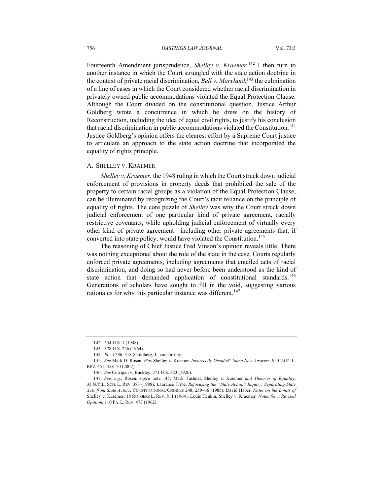Fourteenth Amendment jurisprudence, *Shelley v. Kraemer.*<sup>142</sup> I then turn to another instance in which the Court struggled with the state action doctrine in the context of private racial discrimination, *Bell v. Maryland*, <sup>143</sup> the culmination of a line of cases in which the Court considered whether racial discrimination in privately owned public accommodations violated the Equal Protection Clause. Although the Court divided on the constitutional question, Justice Arthur Goldberg wrote a concurrence in which he drew on the history of Reconstruction, including the idea of equal civil rights, to justify his conclusion that racial discrimination in public accommodations violated the Constitution.<sup>144</sup> Justice Goldberg's opinion offers the clearest effort by a Supreme Court justice to articulate an approach to the state action doctrine that incorporated the equality of rights principle.

#### A. SHELLEY V. KRAEMER

*Shelley v. Kraemer*, the 1948 ruling in which the Court struck down judicial enforcement of provisions in property deeds that prohibited the sale of the property to certain racial groups as a violation of the Equal Protection Clause, can be illuminated by recognizing the Court's tacit reliance on the principle of equality of rights. The core puzzle of *Shelley* was why the Court struck down judicial enforcement of one particular kind of private agreement, racially restrictive covenants, while upholding judicial enforcement of virtually every other kind of private agreement—including other private agreements that, if converted into state policy, would have violated the Constitution.<sup>145</sup>

The reasoning of Chief Justice Fred Vinson's opinion reveals little. There was nothing exceptional about the role of the state in the case. Courts regularly enforced private agreements, including agreements that entailed acts of racial discrimination, and doing so had never before been understood as the kind of state action that demanded application of constitutional standards.<sup>146</sup> Generations of scholars have sought to fill in the void, suggesting various rationales for why this particular instance was different.<sup>147</sup>

<sup>142.</sup> 334 U.S. 1 (1948).

<sup>143.</sup> 378 U.S. 226 (1964).

<sup>144.</sup> *Id.* at 286–318 (Goldberg, J., concurring).

<sup>145.</sup> *See* Mark D. Rosen, *Was* Shelley v. Kraemer *Incorrectly Decided? Some New Answers*, 95 CALIF. L. REV. 451, 458–70 (2007).

<sup>146.</sup> *See* Corrigan v. Buckley, 271 U.S. 323 (1926).

<sup>147.</sup> *See, e.g.*, Rosen, *supra* note 145; Mark Tushnet, Shelley v. Kraemer *and Theories of Equality*, 33 N.Y.L. SCH. L. REV. 383 (1988); Laurence Tribe, *Refocusing the "State Action" Inquiry: Separating State Acts from State Actors*, CONSTITUTIONAL CHOICES 248, 259–66 (1985); David Haber, *Notes on the Limits of* Shelley v. Kraemer, 18 RUTGERS L. REV. 811 (1964); Louis Henkin, Shelley v. Kraemer*: Notes for a Revised Opinion*, 110 PA. L. REV. 473 (1962).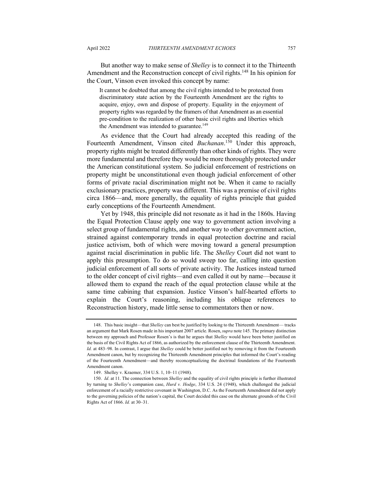But another way to make sense of *Shelley* is to connect it to the Thirteenth Amendment and the Reconstruction concept of civil rights.<sup>148</sup> In his opinion for the Court, Vinson even invoked this concept by name:

It cannot be doubted that among the civil rights intended to be protected from discriminatory state action by the Fourteenth Amendment are the rights to acquire, enjoy, own and dispose of property. Equality in the enjoyment of property rights was regarded by the framers of that Amendment as an essential pre-condition to the realization of other basic civil rights and liberties which the Amendment was intended to guarantee.<sup>149</sup>

As evidence that the Court had already accepted this reading of the Fourteenth Amendment, Vinson cited *Buchanan*.<sup>150</sup> Under this approach, property rights might be treated differently than other kinds of rights. They were more fundamental and therefore they would be more thoroughly protected under the American constitutional system. So judicial enforcement of restrictions on property might be unconstitutional even though judicial enforcement of other forms of private racial discrimination might not be. When it came to racially exclusionary practices, property was different. This was a premise of civil rights circa 1866—and, more generally, the equality of rights principle that guided early conceptions of the Fourteenth Amendment.

Yet by 1948, this principle did not resonate as it had in the 1860s. Having the Equal Protection Clause apply one way to government action involving a select group of fundamental rights, and another way to other government action, strained against contemporary trends in equal protection doctrine and racial justice activism, both of which were moving toward a general presumption against racial discrimination in public life. The *Shelley* Court did not want to apply this presumption. To do so would sweep too far, calling into question judicial enforcement of all sorts of private activity. The Justices instead turned to the older concept of civil rights—and even called it out by name—because it allowed them to expand the reach of the equal protection clause while at the same time cabining that expansion. Justice Vinson's half-hearted efforts to explain the Court's reasoning, including his oblique references to Reconstruction history, made little sense to commentators then or now.

<sup>148.</sup> This basic insight—that *Shelley* can best be justified by looking to the Thirteenth Amendment— tracks an argument that Mark Rosen made in his important 2007 article. Rosen, *supra* note 145. The primary distinction between my approach and Professor Rosen's is that he argues that *Shelley* would have been better justified on the basis of the Civil Rights Act of 1866, as authorized by the enforcement clause of the Thirteenth Amendment. *Id.* at 483–98. In contrast, I argue that *Shelley* could be better justified not by removing it from the Fourteenth Amendment canon, but by recognizing the Thirteenth Amendment principles that informed the Court's reading of the Fourteenth Amendment—and thereby reconceptualizing the doctrinal foundations of the Fourteenth Amendment canon.

<sup>149.</sup> Shelley v. Kraemer, 334 U.S. 1, 10–11 (1948).

<sup>150.</sup> *Id*. at 11. The connection between *Shelley* and the equality of civil rights principle is further illustrated by turning to *Shelley*'s companion case, *Hurd v. Hodge*, 334 U.S. 24 (1948), which challenged the judicial enforcement of a racially restrictive covenant in Washington, D.C. As the Fourteenth Amendment did not apply to the governing policies of the nation's capital, the Court decided this case on the alternate grounds of the Civil Rights Act of 1866. *Id.* at 30–31.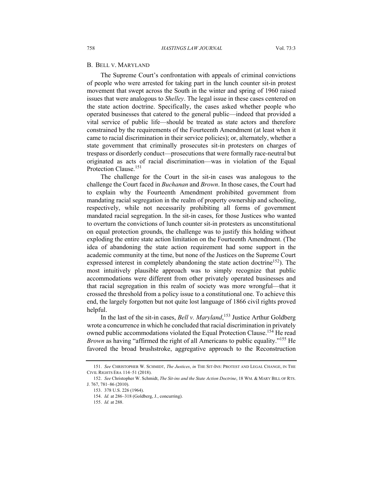#### B. BELL V. MARYLAND

The Supreme Court's confrontation with appeals of criminal convictions of people who were arrested for taking part in the lunch counter sit-in protest movement that swept across the South in the winter and spring of 1960 raised issues that were analogous to *Shelley*. The legal issue in these cases centered on the state action doctrine. Specifically, the cases asked whether people who operated businesses that catered to the general public—indeed that provided a vital service of public life—should be treated as state actors and therefore constrained by the requirements of the Fourteenth Amendment (at least when it came to racial discrimination in their service policies); or, alternately, whether a state government that criminally prosecutes sit-in protesters on charges of trespass or disorderly conduct—prosecutions that were formally race-neutral but originated as acts of racial discrimination—was in violation of the Equal Protection Clause.<sup>151</sup>

The challenge for the Court in the sit-in cases was analogous to the challenge the Court faced in *Buchanan* and *Brown*. In those cases, the Court had to explain why the Fourteenth Amendment prohibited government from mandating racial segregation in the realm of property ownership and schooling, respectively, while not necessarily prohibiting all forms of government mandated racial segregation. In the sit-in cases, for those Justices who wanted to overturn the convictions of lunch counter sit-in protesters as unconstitutional on equal protection grounds, the challenge was to justify this holding without exploding the entire state action limitation on the Fourteenth Amendment. (The idea of abandoning the state action requirement had some support in the academic community at the time, but none of the Justices on the Supreme Court expressed interest in completely abandoning the state action doctrine<sup>152</sup>). The most intuitively plausible approach was to simply recognize that public accommodations were different from other privately operated businesses and that racial segregation in this realm of society was more wrongful—that it crossed the threshold from a policy issue to a constitutional one. To achieve this end, the largely forgotten but not quite lost language of 1866 civil rights proved helpful.

In the last of the sit-in cases, *Bell v. Maryland*, <sup>153</sup> Justice Arthur Goldberg wrote a concurrence in which he concluded that racial discrimination in privately owned public accommodations violated the Equal Protection Clause.<sup>154</sup> He read *Brown* as having "affirmed the right of all Americans to public equality."<sup>155</sup> He favored the broad brushstroke, aggregative approach to the Reconstruction

<sup>151.</sup> *See* CHRISTOPHER W. SCHMIDT, *The Justices*, *in* THE SIT-INS: PROTEST AND LEGAL CHANGE, IN THE CIVIL RIGHTS ERA 114–51 (2018).

<sup>152.</sup> *See* Christopher W. Schmidt, *The Sit-ins and the State Action Doctrine*, 18 WM. & MARY BILL OF RTS. J. 767, 781–86 (2010).

<sup>153.</sup> 378 U.S. 226 (1964).

<sup>154.</sup> *Id.* at 286–318 (Goldberg, J., concurring).

<sup>155.</sup> *Id.* at 288.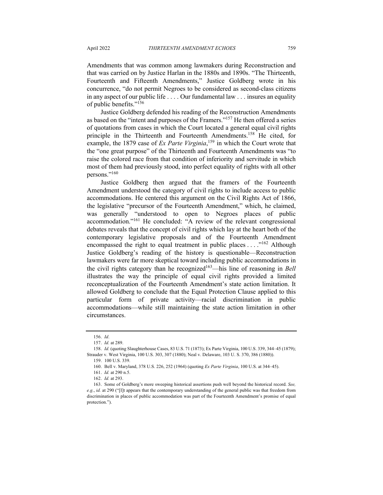Amendments that was common among lawmakers during Reconstruction and that was carried on by Justice Harlan in the 1880s and 1890s. "The Thirteenth, Fourteenth and Fifteenth Amendments," Justice Goldberg wrote in his concurrence, "do not permit Negroes to be considered as second-class citizens in any aspect of our public life . . . . Our fundamental law . . . insures an equality of public benefits."<sup>156</sup>

Justice Goldberg defended his reading of the Reconstruction Amendments as based on the "intent and purposes of the Framers."157 He then offered a series of quotations from cases in which the Court located a general equal civil rights principle in the Thirteenth and Fourteenth Amendments.<sup>158</sup> He cited, for example, the 1879 case of *Ex Parte Virginia*,<sup>159</sup> in which the Court wrote that the "one great purpose" of the Thirteenth and Fourteenth Amendments was "to raise the colored race from that condition of inferiority and servitude in which most of them had previously stood, into perfect equality of rights with all other persons."160

Justice Goldberg then argued that the framers of the Fourteenth Amendment understood the category of civil rights to include access to public accommodations. He centered this argument on the Civil Rights Act of 1866, the legislative "precursor of the Fourteenth Amendment," which, he claimed, was generally "understood to open to Negroes places of public accommodation."<sup>161</sup> He concluded: "A review of the relevant congressional debates reveals that the concept of civil rights which lay at the heart both of the contemporary legislative proposals and of the Fourteenth Amendment encompassed the right to equal treatment in public places  $\dots$ <sup>162</sup> Although Justice Goldberg's reading of the history is questionable—Reconstruction lawmakers were far more skeptical toward including public accommodations in the civil rights category than he recognized<sup>163</sup>—his line of reasoning in *Bell* illustrates the way the principle of equal civil rights provided a limited reconceptualization of the Fourteenth Amendment's state action limitation. It allowed Goldberg to conclude that the Equal Protection Clause applied to this particular form of private activity—racial discrimination in public accommodations—while still maintaining the state action limitation in other circumstances.

<sup>156.</sup> *Id*.

<sup>157.</sup> *Id.* at 289.

<sup>158.</sup> *Id.* (quoting Slaughterhouse Cases, 83 U.S. 71 (1873); Ex Parte Virginia, 100 U.S. 339, 344–45 (1879); Strauder v. West Virginia, 100 U.S. 303, 307 (1880); Neal v. Delaware, 103 U. S. 370, 386 (1880)).

<sup>159.</sup> 100 U.S. 339.

<sup>160.</sup> Bell v. Maryland, 378 U.S. 226, 252 (1964) (quoting *Ex Parte Virginia*, 100 U.S. at 344–45).

<sup>161.</sup> *Id.* at 290 n.5.

<sup>162.</sup> *Id.* at 293.

<sup>163.</sup> Some of Goldberg's more sweeping historical assertions push well beyond the historical record. *See, e.g.*, *id.* at 290 ("[I]t appears that the contemporary understanding of the general public was that freedom from discrimination in places of public accommodation was part of the Fourteenth Amendment's promise of equal protection.").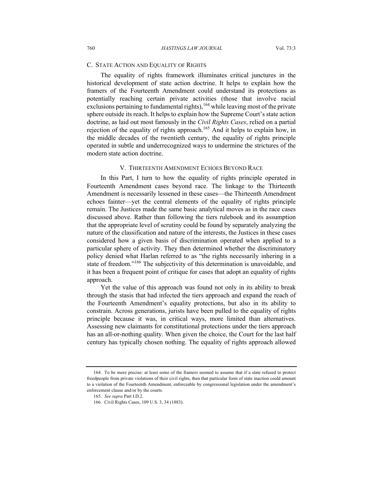## C. STATE ACTION AND EQUALITY OF RIGHTS

The equality of rights framework illuminates critical junctures in the historical development of state action doctrine. It helps to explain how the framers of the Fourteenth Amendment could understand its protections as potentially reaching certain private activities (those that involve racial exclusions pertaining to fundamental rights),  $164$  while leaving most of the private sphere outside its reach. It helps to explain how the Supreme Court's state action doctrine, as laid out most famously in the *Civil Rights Cases*, relied on a partial rejection of the equality of rights approach.<sup>165</sup> And it helps to explain how, in the middle decades of the twentieth century, the equality of rights principle operated in subtle and underrecognized ways to undermine the strictures of the modern state action doctrine.

### V. THIRTEENTH AMENDMENT ECHOES BEYOND RACE

In this Part, I turn to how the equality of rights principle operated in Fourteenth Amendment cases beyond race. The linkage to the Thirteenth Amendment is necessarily lessened in these cases—the Thirteenth Amendment echoes fainter—yet the central elements of the equality of rights principle remain. The Justices made the same basic analytical moves as in the race cases discussed above. Rather than following the tiers rulebook and its assumption that the appropriate level of scrutiny could be found by separately analyzing the nature of the classification and nature of the interests, the Justices in these cases considered how a given basis of discrimination operated when applied to a particular sphere of activity. They then determined whether the discriminatory policy denied what Harlan referred to as "the rights necessarily inhering in a state of freedom."<sup>166</sup> The subjectivity of this determination is unavoidable, and it has been a frequent point of critique for cases that adopt an equality of rights approach.

Yet the value of this approach was found not only in its ability to break through the stasis that had infected the tiers approach and expand the reach of the Fourteenth Amendment's equality protections, but also in its ability to constrain. Across generations, jurists have been pulled to the equality of rights principle because it was, in critical ways, more limited than alternatives. Assessing new claimants for constitutional protections under the tiers approach has an all-or-nothing quality. When given the choice, the Court for the last half century has typically chosen nothing. The equality of rights approach allowed

<sup>164.</sup> To be more precise: at least some of the framers seemed to assume that if a state refused to protect freedpeople from private violations of their civil rights, then that particular form of state inaction could amount to a violation of the Fourteenth Amendment, enforceable by congressional legislation under the amendment's enforcement clause and/or by the courts.

<sup>165.</sup> *See supra* Part I.D.2.

<sup>166.</sup> Civil Rights Cases, 109 U.S. 3, 34 (1883).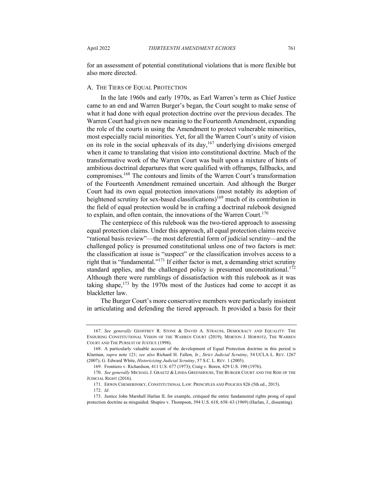for an assessment of potential constitutional violations that is more flexible but also more directed.

## A. THE TIERS OF EQUAL PROTECTION

In the late 1960s and early 1970s, as Earl Warren's term as Chief Justice came to an end and Warren Burger's began, the Court sought to make sense of what it had done with equal protection doctrine over the previous decades. The Warren Court had given new meaning to the Fourteenth Amendment, expanding the role of the courts in using the Amendment to protect vulnerable minorities, most especially racial minorities. Yet, for all the Warren Court's unity of vision on its role in the social upheavals of its day,  $167$  underlying divisions emerged when it came to translating that vision into constitutional doctrine. Much of the transformative work of the Warren Court was built upon a mixture of hints of ambitious doctrinal departures that were qualified with offramps, fallbacks, and compromises.168 The contours and limits of the Warren Court's transformation of the Fourteenth Amendment remained uncertain. And although the Burger Court had its own equal protection innovations (most notably its adoption of heightened scrutiny for sex-based classifications)<sup>169</sup> much of its contribution in the field of equal protection would be in crafting a doctrinal rulebook designed to explain, and often contain, the innovations of the Warren Court.<sup>170</sup>

The centerpiece of this rulebook was the two-tiered approach to assessing equal protection claims. Under this approach, all equal protection claims receive "rational basis review"—the most deferential form of judicial scrutiny—and the challenged policy is presumed constitutional unless one of two factors is met: the classification at issue is "suspect" or the classification involves access to a right that is "fundamental."171 If either factor is met, a demanding strict scrutiny standard applies, and the challenged policy is presumed unconstitutional.<sup>172</sup> Although there were rumblings of dissatisfaction with this rulebook as it was taking shape, $173$  by the 1970s most of the Justices had come to accept it as blackletter law.

The Burger Court's more conservative members were particularly insistent in articulating and defending the tiered approach. It provided a basis for their

<sup>167.</sup> *See generally* GEOFFREY R. STONE & DAVID A. STRAUSS, DEMOCRACY AND EQUALITY: THE ENDURING CONSTITUTIONAL VISION OF THE WARREN COURT (2019); MORTON J. HORWITZ, THE WARREN COURT AND THE PURSUIT OF JUSTICE (1998).

<sup>168.</sup> A particularly valuable account of the development of Equal Protection doctrine in this period is Klarman, *supra* note 121; *see also* Richard H. Fallon, Jr., *Strict Judicial Scrutiny*, 54 UCLA L. REV. 1267 (2007); G. Edward White, *Historicizing Judicial Scrutiny*, 57 S.C. L. REV. 1 (2005).

<sup>169.</sup> Frontiero v. Richardson, 411 U.S. 677 (1973); Craig v. Boren*,* 429 U.S. 190 (1976).

<sup>170.</sup> *See generally* MICHAEL J. GRAETZ & LINDA GREENHOUSE, THE BURGER COURT AND THE RISE OF THE JUDICIAL RIGHT (2016).

<sup>171.</sup> ERWIN CHEMERINSKY, CONSTITUTIONAL LAW: PRINCIPLES AND POLICIES 826 (5th ed., 2015).

<sup>172.</sup> *Id.*

<sup>173.</sup> Justice John Marshall Harlan II, for example, critiqued the entire fundamental rights prong of equal protection doctrine as misguided. Shapiro v. Thompson, 394 U.S. 618, 658–63 (1969) (Harlan, J., dissenting).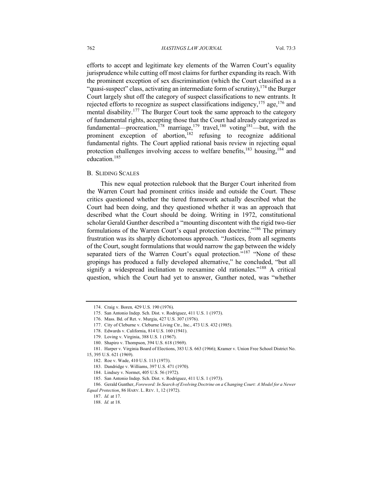efforts to accept and legitimate key elements of the Warren Court's equality jurisprudence while cutting off most claims for further expanding its reach. With the prominent exception of sex discrimination (which the Court classified as a "quasi-suspect" class, activating an intermediate form of scrutiny),  $174$  the Burger Court largely shut off the category of suspect classifications to new entrants. It rejected efforts to recognize as suspect classifications indigency,  $175$  age,  $176$  and mental disability.<sup>177</sup> The Burger Court took the same approach to the category of fundamental rights, accepting those that the Court had already categorized as fundamental—procreation,<sup>178</sup> marriage,<sup>179</sup> travel,<sup>180</sup> voting<sup>181</sup>—but, with the prominent exception of abortion,<sup>182</sup> refusing to recognize additional fundamental rights. The Court applied rational basis review in rejecting equal protection challenges involving access to welfare benefits, $183$  housing,  $184$  and education.185

#### B. SLIDING SCALES

This new equal protection rulebook that the Burger Court inherited from the Warren Court had prominent critics inside and outside the Court. These critics questioned whether the tiered framework actually described what the Court had been doing, and they questioned whether it was an approach that described what the Court should be doing. Writing in 1972, constitutional scholar Gerald Gunther described a "mounting discontent with the rigid two-tier formulations of the Warren Court's equal protection doctrine."<sup>186</sup> The primary frustration was its sharply dichotomous approach. "Justices, from all segments of the Court, sought formulations that would narrow the gap between the widely separated tiers of the Warren Court's equal protection."<sup>187</sup> "None of these gropings has produced a fully developed alternative," he concluded, "but all signify a widespread inclination to reexamine old rationales."<sup>188</sup> A critical question, which the Court had yet to answer, Gunther noted, was "whether

<sup>174.</sup> Craig v. Boren*,* 429 U.S. 190 (1976).

<sup>175.</sup> San Antonio Indep. Sch. Dist. v. Rodriguez, 411 U.S. 1 (1973).

<sup>176.</sup> Mass. Bd. of Ret. v. Murgia, 427 U.S. 307 (1976).

<sup>177.</sup> City of Cleburne v. Cleburne Living Ctr., Inc., 473 U.S. 432 (1985).

<sup>178.</sup> Edwards v. California, 814 U.S. 160 (1941).

<sup>179.</sup> Loving v. Virginia, 388 U.S. 1 (1967).

<sup>180.</sup> Shapiro v. Thompson, 394 U.S. 618 (1969).

<sup>181.</sup> Harper v. Virginia Board of Elections, 383 U.S. 663 (1966); Kramer v. Union Free School District No.

<sup>15, 395</sup> U.S. 621 (1969).

<sup>182.</sup> Roe v. Wade, 410 U.S. 113 (1973).

<sup>183.</sup> Dandridge v. Williams, 397 U.S. 471 (1970).

<sup>184.</sup> Lindsey v. Normet, 405 U.S. 56 (1972).

<sup>185.</sup> San Antonio Indep. Sch. Dist. v. Rodriguez, 411 U.S. 1 (1973).

<sup>186.</sup> Gerald Gunther, *Foreword: In Search of Evolving Doctrine on a Changing Court: A Model for a Newer Equal Protection*, 86 HARV. L. REV. 1, 12 (1972).

<sup>187.</sup> *Id.* at 17.

<sup>188.</sup> *Id.* at 18.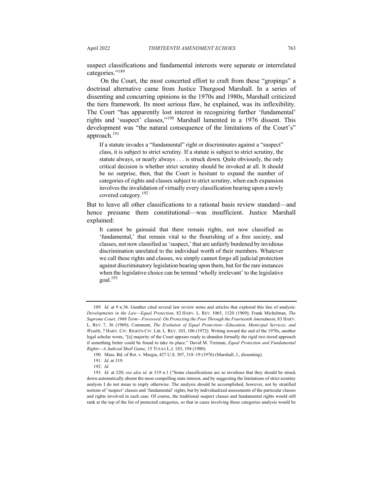suspect classifications and fundamental interests were separate or interrelated categories."<sup>189</sup>

On the Court, the most concerted effort to craft from these "gropings" a doctrinal alternative came from Justice Thurgood Marshall. In a series of dissenting and concurring opinions in the 1970s and 1980s, Marshall criticized the tiers framework. Its most serious flaw, he explained, was its inflexibility. The Court "has apparently lost interest in recognizing further 'fundamental' rights and 'suspect' classes,"<sup>190</sup> Marshall lamented in a 1976 dissent. This development was "the natural consequence of the limitations of the Court's" approach.191

If a statute invades a "fundamental" right or discriminates against a "suspect" class, it is subject to strict scrutiny. If a statute is subject to strict scrutiny, the statute always, or nearly always . . . is struck down. Quite obviously, the only critical decision is whether strict scrutiny should be invoked at all. It should be no surprise, then, that the Court is hesitant to expand the number of categories of rights and classes subject to strict scrutiny, when each expansion involves the invalidation of virtually every classification bearing upon a newly covered category.<sup>192</sup>

But to leave all other classifications to a rational basis review standard—and hence presume them constitutional—was insufficient. Justice Marshall explained:

It cannot be gainsaid that there remain rights, not now classified as 'fundamental,' that remain vital to the flourishing of a free society, and classes, not now classified as 'suspect,' that are unfairly burdened by invidious discrimination unrelated to the individual worth of their members. Whatever we call these rights and classes, we simply cannot forgo all judicial protection against discriminatory legislation bearing upon them, but for the rare instances when the legislative choice can be termed 'wholly irrelevant' to the legislative goal. $193$ 

<sup>189.</sup> *Id.* at 9 n.36. Gunther cited several law review notes and articles that explored this line of analysis: *Developments in the Law—Equal Protection*, 82 HARV. L. REV. 1065, 1120 (1969); Frank Michelman, *The Supreme Court, 1968 Term—Foreword: On Protecting the Poor Through the Fourteenth Amendment*, 83 HARV. L. REV. 7, 36 (1969); Comment, *The Evolution of Equal Protection—Education, Municipal Services, and Wealth*, 7 HARV. CIV. RIGHTS-CIV. LIB. L. REV. 103, 106 (1972). Writing toward the end of the 1970s, another legal scholar wrote, "[a] majority of the Court appears ready to abandon formally the rigid two tiered approach if something better could be found to take its place." David M. Treiman, *Equal Protection and Fundamental Rights—A Judicial Shell Game*, 15 TULSA L.J. 183, 194 (1980).

<sup>190.</sup> Mass. Bd. of Ret. v. Murgia, 427 U.S. 307, 318–19 (1976) (Marshall, J., dissenting).

<sup>191.</sup> *Id.* at 319.

<sup>192.</sup> *Id.*

<sup>193.</sup> *Id.* at 320; *see also id.* at 319 n.1 ("Some classifications are so invidious that they should be struck down automatically absent the most compelling state interest, and by suggesting the limitations of strict scrutiny analysis I do not mean to imply otherwise. The analysis should be accomplished, however, not by stratified notions of 'suspect' classes and 'fundamental' rights, but by individualized assessments of the particular classes and rights involved in each case. Of course, the traditional suspect classes and fundamental rights would still rank at the top of the list of protected categories, so that in cases involving those categories analysis would be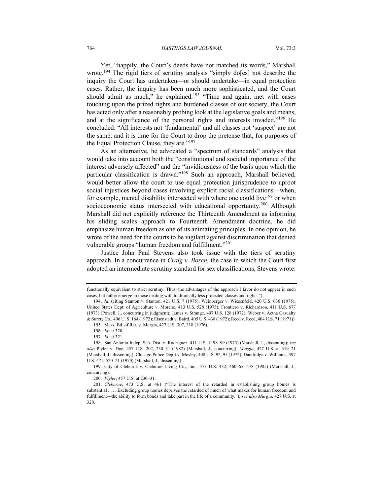Yet, "happily, the Court's deeds have not matched its words," Marshall wrote.<sup>194</sup> The rigid tiers of scrutiny analysis "simply do[es] not describe the inquiry the Court has undertaken—or should undertake—in equal protection cases. Rather, the inquiry has been much more sophisticated, and the Court should admit as much," he explained.<sup>195</sup> "Time and again, met with cases touching upon the prized rights and burdened classes of our society, the Court has acted only after a reasonably probing look at the legislative goals and means, and at the significance of the personal rights and interests invaded."<sup>196</sup> He concluded: "All interests not 'fundamental' and all classes not 'suspect' are not the same; and it is time for the Court to drop the pretense that, for purposes of the Equal Protection Clause, they are."<sup>197</sup>

As an alternative, he advocated a "spectrum of standards" analysis that would take into account both the "constitutional and societal importance of the interest adversely affected" and the "invidiousness of the basis upon which the particular classification is drawn."198 Such an approach, Marshall believed, would better allow the court to use equal protection jurisprudence to uproot social injustices beyond cases involving explicit racial classifications—when, for example, mental disability intersected with where one could live<sup>199</sup> or when socioeconomic status intersected with educational opportunity.<sup>200</sup> Although Marshall did not explicitly reference the Thirteenth Amendment as informing his sliding scales approach to Fourteenth Amendment doctrine, he did emphasize human freedom as one of its animating principles. In one opinion, he wrote of the need for the courts to be vigilant against discrimination that denied vulnerable groups "human freedom and fulfillment."<sup>201</sup>

Justice John Paul Stevens also took issue with the tiers of scrutiny approach. In a concurrence in *Craig v. Boren*, the case in which the Court first adopted an intermediate scrutiny standard for sex classifications, Stevens wrote:

functionally equivalent to strict scrutiny. Thus, the advantages of the approach I favor do not appear in such cases, but rather emerge in those dealing with traditionally less protected classes and rights.").

<sup>194.</sup> *Id.* (citing Stanton v. Stanton, 421 U.S. 7 (1975); Weinberger v. Wiesenfeld, 420 U.S. 636 (1975); United States Dept. of Agriculture v. Moreno, 413 U.S. 528 (1973); Frontiero v. Richardson, 411 U.S. 677 (1973) (Powell, J., concurring in judgment); James v. Strange, 407 U.S. 128 (1972); Weber v. Aetna Casualty & Surety Co., 406 U. S. 164 (1972); Eisenstadt v. Baird, 405 U.S. 438 (1972); Reed v. Reed, 404 U.S. 71 (1971)). 195. Mass. Bd. of Ret. v. Murgia, 427 U.S. 307, 318 (1976).

<sup>196.</sup> *Id.* at 320.

<sup>197.</sup> *Id.* at 321.

<sup>198.</sup> San Antonio Indep. Sch. Dist. v. Rodriguez, 411 U.S. 1, 98–99 (1973) (Marshall, J., dissenting); *see also* Plyler v. Doe, 457 U.S. 202, 230–31 (1982) (Marshall, J., concurring); *Murgia*, 427 U.S. at 319–21 (Marshall, J., dissenting); Chicago Police Dep't v. Mosley, 408 U.S. 92, 95 (1972); Dandridge v. Williams, 397 U.S. 471, 520–21 (1970) (Marshall, J., dissenting).

<sup>199.</sup> City of Cleburne v. Cleburne Living Ctr., Inc., 473 U.S. 432, 460–65, 478 (1985) (Marshall, J., concurring).

<sup>200.</sup> *Plyler*, 457 U.S. at 230–31.

<sup>201.</sup> *Cleburne*, 473 U.S. at 461 ("The interest of the retarded in establishing group homes is substantial . . . . Excluding group homes deprives the retarded of much of what makes for human freedom and fulfillment—the ability to form bonds and take part in the life of a community."); *see also Murgia*, 427 U.S. at 320.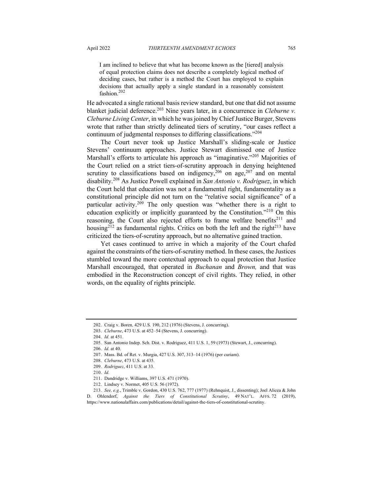I am inclined to believe that what has become known as the [tiered] analysis of equal protection claims does not describe a completely logical method of deciding cases, but rather is a method the Court has employed to explain decisions that actually apply a single standard in a reasonably consistent fashion.<sup>202</sup>

He advocated a single rational basis review standard, but one that did not assume blanket judicial deference.<sup>203</sup> Nine years later, in a concurrence in *Cleburne v. Cleburne Living Center*, in which he was joined by Chief Justice Burger, Stevens wrote that rather than strictly delineated tiers of scrutiny, "our cases reflect a continuum of judgmental responses to differing classifications."204

The Court never took up Justice Marshall's sliding-scale or Justice Stevens' continuum approaches. Justice Stewart dismissed one of Justice Marshall's efforts to articulate his approach as "imaginative."<sup>205</sup> Majorities of the Court relied on a strict tiers-of-scrutiny approach in denying heightened scrutiny to classifications based on indigency,<sup>206</sup> on age,<sup>207</sup> and on mental disability.<sup>208</sup> As Justice Powell explained in *San Antonio v. Rodriguez*, in which the Court held that education was not a fundamental right, fundamentality as a constitutional principle did not turn on the "relative social significance" of a particular activity.<sup>209</sup> The only question was "whether there is a right to education explicitly or implicitly guaranteed by the Constitution."<sup>210</sup> On this reasoning, the Court also rejected efforts to frame welfare benefits<sup>211</sup> and housing<sup>212</sup> as fundamental rights. Critics on both the left and the right<sup>213</sup> have criticized the tiers-of-scrutiny approach, but no alternative gained traction.

Yet cases continued to arrive in which a majority of the Court chafed against the constraints of the tiers-of-scrutiny method. In these cases, the Justices stumbled toward the more contextual approach to equal protection that Justice Marshall encouraged, that operated in *Buchanan* and *Brown,* and that was embodied in the Reconstruction concept of civil rights. They relied, in other words, on the equality of rights principle.

204. *Id.* at 451.

<sup>202.</sup> Craig v. Boren*,* 429 U.S. 190, 212 (1976) (Stevens, J. concurring).

<sup>203.</sup> *Cleburne*, 473 U.S. at 452–54 (Stevens, J. concurring).

<sup>205.</sup> San Antonio Indep. Sch. Dist. v. Rodriguez, 411 U.S. 1, 59 (1973) (Stewart, J., concurring). 206. *Id.* at 40.

<sup>207.</sup> Mass. Bd. of Ret. v. Murgia, 427 U.S. 307, 313–14 (1976) (per curiam).

<sup>208.</sup> *Cleburne*, 473 U.S. at 435.

<sup>209.</sup> *Rodriguez*, 411 U.S. at 33.

<sup>210.</sup> *Id.*

<sup>211.</sup> Dandridge v. Williams, 397 U.S. 471 (1970).

<sup>212.</sup> Lindsey v. Normet, 405 U.S. 56 (1972).

<sup>213.</sup> *See, e.g.*, Trimble v. Gordon, 430 U.S. 762, 777 (1977) (Rehnquist, J., dissenting); Joel Alicea & John D. Ohlendorf, *Against the Tiers of Constitutional Scrutiny*, 49 NAT'L. AFFS. 72 (2019), https://www.nationalaffairs.com/publications/detail/against-the-tiers-of-constitutional-scrutiny.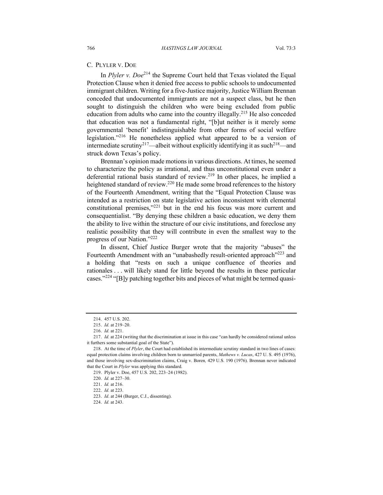#### C. PLYLER V. DOE

In *Plyler v. Doe*<sup>214</sup> the Supreme Court held that Texas violated the Equal Protection Clause when it denied free access to public schools to undocumented immigrant children. Writing for a five-Justice majority, Justice William Brennan conceded that undocumented immigrants are not a suspect class, but he then sought to distinguish the children who were being excluded from public education from adults who came into the country illegally.<sup>215</sup> He also conceded that education was not a fundamental right, "[b]ut neither is it merely some governmental 'benefit' indistinguishable from other forms of social welfare legislation."<sup>216</sup> He nonetheless applied what appeared to be a version of intermediate scrutiny<sup>217</sup>—albeit without explicitly identifying it as such<sup>218</sup>—and struck down Texas's policy.

Brennan's opinion made motions in various directions. At times, he seemed to characterize the policy as irrational, and thus unconstitutional even under a deferential rational basis standard of review.<sup>219</sup> In other places, he implied a heightened standard of review.<sup>220</sup> He made some broad references to the history of the Fourteenth Amendment, writing that the "Equal Protection Clause was intended as a restriction on state legislative action inconsistent with elemental constitutional premises,"<sup>221</sup> but in the end his focus was more current and consequentialist. "By denying these children a basic education, we deny them the ability to live within the structure of our civic institutions, and foreclose any realistic possibility that they will contribute in even the smallest way to the progress of our Nation."222

In dissent, Chief Justice Burger wrote that the majority "abuses" the Fourteenth Amendment with an "unabashedly result-oriented approach"<sup>223</sup> and a holding that "rests on such a unique confluence of theories and rationales . . . will likely stand for little beyond the results in these particular cases."<sup>224</sup> "[B]y patching together bits and pieces of what might be termed quasi-

224. *Id.* at 243.

<sup>214.</sup> 457 U.S. 202.

<sup>215.</sup> *Id.* at 219–20.

<sup>216.</sup> *Id.* at 221.

<sup>217.</sup> *Id.* at 224 (writing that the discrimination at issue in this case "can hardly be considered rational unless it furthers some substantial goal of the State").

<sup>218.</sup> At the time of *Plyler*, the Court had established its intermediate scrutiny standard in two lines of cases: equal protection claims involving children born to unmarried parents, *Mathews v. Lucas*, 427 U. S. 495 (1976), and those involving sex-discrimination claims, Craig v. Boren*,* 429 U.S. 190 (1976). Brennan never indicated that the Court in *Plyler* was applying this standard.

<sup>219.</sup> Plyler v. Doe, 457 U.S. 202, 223–24 (1982).

<sup>220.</sup> *Id.* at 227–30.

<sup>221.</sup> *Id.* at 216.

<sup>222.</sup> *Id.* at 223.

<sup>223.</sup> *Id*. at 244 (Burger, C.J., dissenting).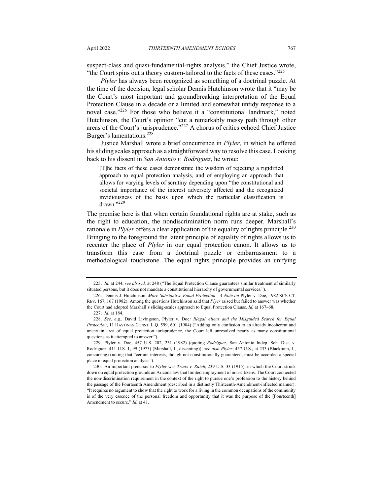suspect-class and quasi-fundamental-rights analysis," the Chief Justice wrote, "the Court spins out a theory custom-tailored to the facts of these cases." $225$ 

*Plyler* has always been recognized as something of a doctrinal puzzle. At the time of the decision, legal scholar Dennis Hutchinson wrote that it "may be the Court's most important and groundbreaking interpretation of the Equal Protection Clause in a decade or a limited and somewhat untidy response to a novel case."<sup>226</sup> For those who believe it a "constitutional landmark," noted Hutchinson, the Court's opinion "cut a remarkably messy path through other areas of the Court's jurisprudence."<sup>227</sup> A chorus of critics echoed Chief Justice Burger's lamentations.<sup>228</sup>

Justice Marshall wrote a brief concurrence in *Plyler*, in which he offered his sliding scales approach as a straightforward way to resolve this case. Looking back to his dissent in *San Antonio v. Rodriguez*, he wrote:

[T]he facts of these cases demonstrate the wisdom of rejecting a rigidified approach to equal protection analysis, and of employing an approach that allows for varying levels of scrutiny depending upon "the constitutional and societal importance of the interest adversely affected and the recognized invidiousness of the basis upon which the particular classification is drawn."229

The premise here is that when certain foundational rights are at stake, such as the right to education, the nondiscrimination norm runs deeper. Marshall's rationale in *Plyler* offers a clear application of the equality of rights principle.<sup>230</sup> Bringing to the foreground the latent principle of equality of rights allows us to recenter the place of *Plyler* in our equal protection canon. It allows us to transform this case from a doctrinal puzzle or embarrassment to a methodological touchstone. The equal rights principle provides an unifying

<sup>225.</sup> *Id.* at 244, *see also id.* at 248 ("The Equal Protection Clause guarantees similar treatment of similarly situated persons, but it does not mandate a constitutional hierarchy of governmental services.").

<sup>226.</sup> Dennis J. Hutchinson, *More Substantive Equal Protection—A Note on* Plyler v. Doe, 1982 SUP. CT. REV. 167, 167 (1982). Among the questions Hutchinson said that *Plyer* raised but failed to answer was whether the Court had adopted Marshall's sliding-scales approach to Equal Protection Clause. *Id.* at 167–68.

<sup>227.</sup> *Id.* at 184.

<sup>228.</sup> *See, e.g.*, David Livingston, Plyler v. Doe*: Illegal Aliens and the Misguided Search for Equal Protection*, 11 HASTINGS CONST. L.Q. 599, 601 (1984) ("Adding only confusion to an already incoherent and uncertain area of equal protection jurisprudence, the Court left unresolved nearly as many constitutional questions as it attempted to answer.").

<sup>229.</sup> Plyler v. Doe, 457 U.S. 202, 231 (1982) (quoting *Rodriguez*, San Antonio Indep. Sch. Dist. v. Rodriguez, 411 U.S. 1, 99 (1973) (Marshall, J., dissenting)); *see also Plyler*, 457 U.S., at 233 (Blackmun, J., concurring) (noting that "certain interests, though not constitutionally guaranteed, must be accorded a special place in equal protection analysis").

<sup>230.</sup> An important precursor to *Plyler* was *Truax v. Raich*, 239 U.S. 33 (1915), in which the Court struck down on equal protection grounds an Arizona law that limited employment of non-citizens. The Court connected the non-discrimination requirement in the context of the right to pursue one's profession to the history behind the passage of the Fourteenth Amendment (described in a distinctly Thirteenth-Amendment-inflected manner): "It requires no argument to show that the right to work for a living in the common occupations of the community is of the very essence of the personal freedom and opportunity that it was the purpose of the [Fourteenth] Amendment to secure." *Id.* at 41.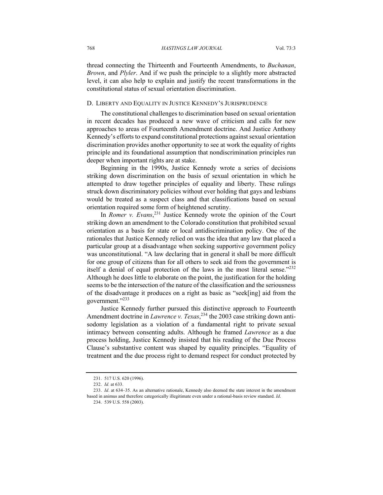thread connecting the Thirteenth and Fourteenth Amendments, to *Buchanan*, *Brown*, and *Plyler*. And if we push the principle to a slightly more abstracted level, it can also help to explain and justify the recent transformations in the constitutional status of sexual orientation discrimination.

## D. LIBERTY AND EQUALITY IN JUSTICE KENNEDY'S JURISPRUDENCE

The constitutional challenges to discrimination based on sexual orientation in recent decades has produced a new wave of criticism and calls for new approaches to areas of Fourteenth Amendment doctrine. And Justice Anthony Kennedy's efforts to expand constitutional protections against sexual orientation discrimination provides another opportunity to see at work the equality of rights principle and its foundational assumption that nondiscrimination principles run deeper when important rights are at stake.

Beginning in the 1990s, Justice Kennedy wrote a series of decisions striking down discrimination on the basis of sexual orientation in which he attempted to draw together principles of equality and liberty. These rulings struck down discriminatory policies without ever holding that gays and lesbians would be treated as a suspect class and that classifications based on sexual orientation required some form of heightened scrutiny.

In *Romer v. Evans*, <sup>231</sup> Justice Kennedy wrote the opinion of the Court striking down an amendment to the Colorado constitution that prohibited sexual orientation as a basis for state or local antidiscrimination policy. One of the rationales that Justice Kennedy relied on was the idea that any law that placed a particular group at a disadvantage when seeking supportive government policy was unconstitutional. "A law declaring that in general it shall be more difficult for one group of citizens than for all others to seek aid from the government is itself a denial of equal protection of the laws in the most literal sense."232 Although he does little to elaborate on the point, the justification for the holding seems to be the intersection of the nature of the classification and the seriousness of the disadvantage it produces on a right as basic as "seek[ing] aid from the government."<sup>233</sup>

Justice Kennedy further pursued this distinctive approach to Fourteenth Amendment doctrine in *Lawrence v. Texas*, <sup>234</sup> the 2003 case striking down antisodomy legislation as a violation of a fundamental right to private sexual intimacy between consenting adults. Although he framed *Lawrence* as a due process holding, Justice Kennedy insisted that his reading of the Due Process Clause's substantive content was shaped by equality principles. "Equality of treatment and the due process right to demand respect for conduct protected by

<sup>231.</sup> 517 U.S. 620 (1996).

<sup>232.</sup> *Id.* at 633.

<sup>233.</sup> *Id*. at 634–35. As an alternative rationale, Kennedy also deemed the state interest in the amendment based in animus and therefore categorically illegitimate even under a rational-basis review standard. *Id*.

<sup>234.</sup> 539 U.S. 558 (2003).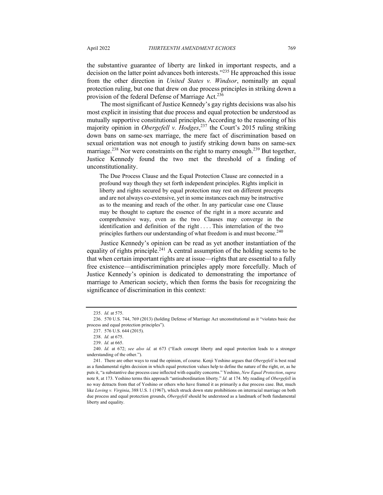the substantive guarantee of liberty are linked in important respects, and a decision on the latter point advances both interests."<sup>235</sup> He approached this issue from the other direction in *United States v. Windsor*, nominally an equal protection ruling, but one that drew on due process principles in striking down a provision of the federal Defense of Marriage Act.<sup>236</sup>

The most significant of Justice Kennedy's gay rights decisions was also his most explicit in insisting that due process and equal protection be understood as mutually supportive constitutional principles. According to the reasoning of his majority opinion in *Obergefell v. Hodges*, <sup>237</sup> the Court's 2015 ruling striking down bans on same-sex marriage, the mere fact of discrimination based on sexual orientation was not enough to justify striking down bans on same-sex marriage.<sup>238</sup> Nor were constraints on the right to marry enough.<sup>239</sup> But together, Justice Kennedy found the two met the threshold of a finding of unconstitutionality.

The Due Process Clause and the Equal Protection Clause are connected in a profound way though they set forth independent principles. Rights implicit in liberty and rights secured by equal protection may rest on different precepts and are not always co-extensive, yet in some instances each may be instructive as to the meaning and reach of the other. In any particular case one Clause may be thought to capture the essence of the right in a more accurate and comprehensive way, even as the two Clauses may converge in the identification and definition of the right . . . . This interrelation of the two principles furthers our understanding of what freedom is and must become.<sup>240</sup>

Justice Kennedy's opinion can be read as yet another instantiation of the equality of rights principle.<sup>241</sup> A central assumption of the holding seems to be that when certain important rights are at issue—rights that are essential to a fully free existence—antidiscrimination principles apply more forcefully. Much of Justice Kennedy's opinion is dedicated to demonstrating the importance of marriage to American society, which then forms the basis for recognizing the significance of discrimination in this context:

<sup>235.</sup> *Id.* at 575.

<sup>236.</sup> 570 U.S. 744, 769 (2013) (holding Defense of Marriage Act unconstitutional as it "violates basic due process and equal protection principles").

<sup>237.</sup> 576 U.S. 644 (2015).

<sup>238.</sup> *Id.* at 675.

<sup>239.</sup> *Id.* at 665.

<sup>240.</sup> *Id.* at 672; *see also id.* at 673 ("Each concept liberty and equal protection leads to a stronger understanding of the other.").

<sup>241.</sup> There are other ways to read the opinion, of course. Kenji Yoshino argues that *Obergefell* is best read as a fundamental rights decision in which equal protection values help to define the nature of the right, or, as he puts it, "a substantive due process case inflected with equality concerns." Yoshino, *New Equal Protection*, *supra* note 8, at 173. Yoshino terms this approach "antisubordination liberty." *Id.* at 174. My reading of *Obergefell* in no way detracts from that of Yoshino or others who have framed it as primarily a due process case. But, much like *Loving v. Virginia*, 388 U.S. 1 (1967), which struck down state prohibitions on interracial marriage on both due process and equal protection grounds, *Obergefell* should be understood as a landmark of both fundamental liberty and equality.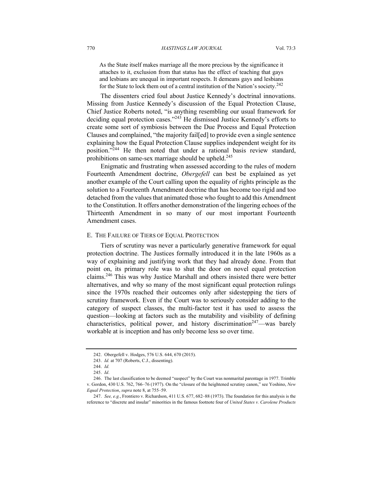As the State itself makes marriage all the more precious by the significance it attaches to it, exclusion from that status has the effect of teaching that gays and lesbians are unequal in important respects. It demeans gays and lesbians for the State to lock them out of a central institution of the Nation's society.<sup>242</sup>

The dissenters cried foul about Justice Kennedy's doctrinal innovations. Missing from Justice Kennedy's discussion of the Equal Protection Clause, Chief Justice Roberts noted, "is anything resembling our usual framework for deciding equal protection cases."<sup>243</sup> He dismissed Justice Kennedy's efforts to create some sort of symbiosis between the Due Process and Equal Protection Clauses and complained, "the majority fail[ed] to provide even a single sentence explaining how the Equal Protection Clause supplies independent weight for its position."244 He then noted that under a rational basis review standard, prohibitions on same-sex marriage should be upheld.<sup>245</sup>

Enigmatic and frustrating when assessed according to the rules of modern Fourteenth Amendment doctrine, *Obergefell* can best be explained as yet another example of the Court calling upon the equality of rights principle as the solution to a Fourteenth Amendment doctrine that has become too rigid and too detached from the values that animated those who fought to add this Amendment to the Constitution. It offers another demonstration of the lingering echoes of the Thirteenth Amendment in so many of our most important Fourteenth Amendment cases.

## E. THE FAILURE OF TIERS OF EQUAL PROTECTION

Tiers of scrutiny was never a particularly generative framework for equal protection doctrine. The Justices formally introduced it in the late 1960s as a way of explaining and justifying work that they had already done. From that point on, its primary role was to shut the door on novel equal protection claims.246 This was why Justice Marshall and others insisted there were better alternatives, and why so many of the most significant equal protection rulings since the 1970s reached their outcomes only after sidestepping the tiers of scrutiny framework. Even if the Court was to seriously consider adding to the category of suspect classes, the multi-factor test it has used to assess the question—looking at factors such as the mutability and visibility of defining characteristics, political power, and history discrimination<sup>247</sup>—was barely workable at is inception and has only become less so over time.

<sup>242.</sup> Obergefell v. Hodges, 576 U.S. 644, 670 (2015).

<sup>243.</sup> *Id.* at 707 (Roberts, C.J., dissenting).

<sup>244.</sup> *Id.*

<sup>245.</sup> *Id*.

<sup>246.</sup> The last classification to be deemed "suspect" by the Court was nonmarital parentage in 1977. Trimble v. Gordon, 430 U.S. 762, 766–76 (1977). On the "closure of the heightened scrutiny canon," see Yoshino, *New Equal Protection*, *supra* note 8, at 755–59.

<sup>247.</sup> *See, e.g.*, Frontiero v. Richardson, 411 U.S. 677, 682–88 (1973). The foundation for this analysis is the reference to "discrete and insular" minorities in the famous footnote four of *United States v. Carolene Products*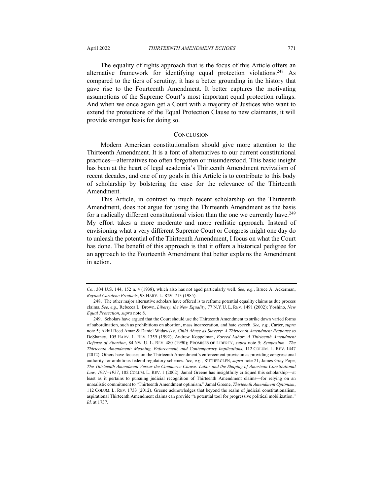The equality of rights approach that is the focus of this Article offers an alternative framework for identifying equal protection violations.<sup>248</sup> As compared to the tiers of scrutiny, it has a better grounding in the history that gave rise to the Fourteenth Amendment. It better captures the motivating assumptions of the Supreme Court's most important equal protection rulings. And when we once again get a Court with a majority of Justices who want to extend the protections of the Equal Protection Clause to new claimants, it will provide stronger basis for doing so.

#### **CONCLUSION**

Modern American constitutionalism should give more attention to the Thirteenth Amendment. It is a font of alternatives to our current constitutional practices—alternatives too often forgotten or misunderstood. This basic insight has been at the heart of legal academia's Thirteenth Amendment revivalism of recent decades, and one of my goals in this Article is to contribute to this body of scholarship by bolstering the case for the relevance of the Thirteenth Amendment.

This Article, in contrast to much recent scholarship on the Thirteenth Amendment, does not argue for using the Thirteenth Amendment as the basis for a radically different constitutional vision than the one we currently have.<sup>249</sup> My effort takes a more moderate and more realistic approach. Instead of envisioning what a very different Supreme Court or Congress might one day do to unleash the potential of the Thirteenth Amendment, I focus on what the Court has done. The benefit of this approach is that it offers a historical pedigree for an approach to the Fourteenth Amendment that better explains the Amendment in action.

*Co.*, 304 U.S. 144, 152 n. 4 (1938), which also has not aged particularly well. *See, e.g.*, Bruce A. Ackerman, *Beyond Carolene Products*, 98 HARV. L. REV. 713 (1985).

<sup>248.</sup> The other major alternative scholars have offered is to reframe potential equality claims as due process claims. *See, e.g.*, Rebecca L. Brown, *Liberty, the New Equality*, 77 N.Y.U. L. REV. 1491 (2002); Yoshino, *New Equal Protection*, *supra* note 8.

<sup>249.</sup> Scholars have argued that the Court should use the Thirteenth Amendment to strike down varied forms of subordination, such as prohibitions on abortion, mass incarceration, and hate speech. *See, e.g.*, Carter, *supra* note 5; Akhil Reed Amar & Daniel Widawsky, *Child Abuse as Slavery: A Thirteenth Amendment Response to*  DeShaney, 105 HARV. L. REV. 1359 (1992); Andrew Koppelman, *Forced Labor: A Thirteenth Amendment Defense of Abortion*, 84 NW. U. L. REV. 480 (1990); PROMISES OF LIBERTY, *supra* note 5; *Symposium—The Thirteenth Amendment: Meaning, Enforcement, and Contemporary Implications*, 112 COLUM. L. REV. 1447 (2012). Others have focuses on the Thirteenth Amendment's enforcement provision as providing congressional authority for ambitious federal regulatory schemes. *See, e.g.*, RUTHERGLEN, *supra* note 21; James Gray Pope, *The Thirteenth Amendment Versus the Commerce Clause: Labor and the Shaping of American Constitutional Law, 1921–1957*, 102 COLUM. L. REV. 1 (2002). Jamal Greene has insightfully critiqued this scholarship—at least as it pertains to pursuing judicial recognition of Thirteenth Amendment claims—for relying on an unrealistic commitment to "Thirteenth Amendment optimism." Jamal Greene, *Thirteenth Amendment Optimism*, 112 COLUM. L. REV. 1733 (2012). Greene acknowledges that beyond the realm of judicial constitutionalism, aspirational Thirteenth Amendment claims can provide "a potential tool for progressive political mobilization." *Id.* at 1737.